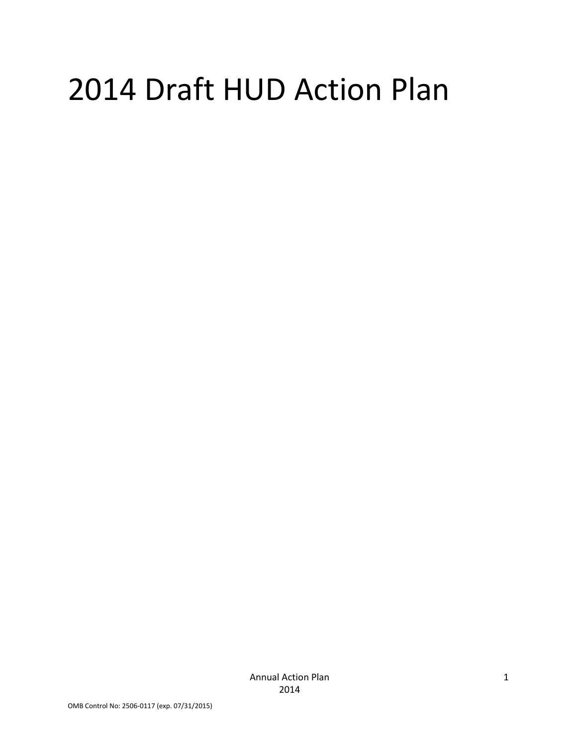# 2014 Draft HUD Action Plan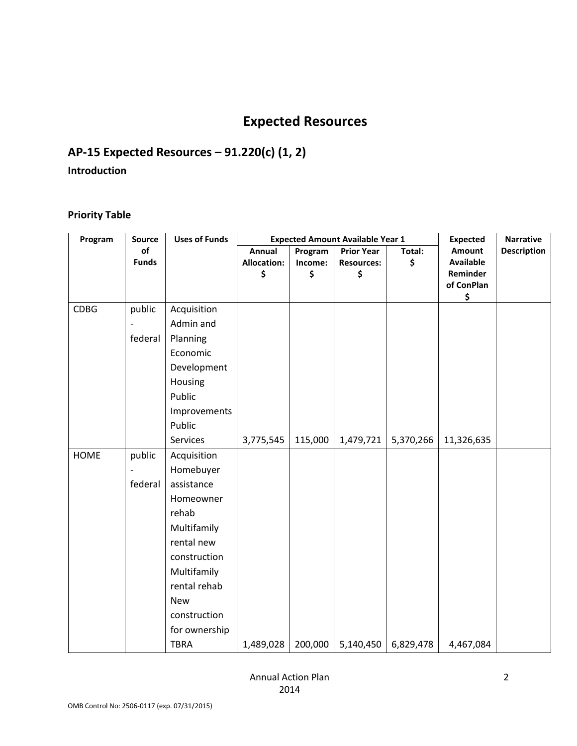# **Expected Resources**

# **AP-15 Expected Resources – 91.220(c) (1, 2)**

## **Introduction**

## **Priority Table**

| Program     | <b>Source</b>  | <b>Uses of Funds</b> |                    | <b>Expected Amount Available Year 1</b> | <b>Expected</b>   | <b>Narrative</b> |                        |                    |
|-------------|----------------|----------------------|--------------------|-----------------------------------------|-------------------|------------------|------------------------|--------------------|
|             | of             |                      | Annual             | Program                                 | <b>Prior Year</b> | Total:           | Amount                 | <b>Description</b> |
|             | <b>Funds</b>   |                      | <b>Allocation:</b> | Income:                                 | <b>Resources:</b> | \$               | <b>Available</b>       |                    |
|             |                |                      | \$                 | \$                                      | \$                |                  | Reminder<br>of ConPlan |                    |
|             |                |                      |                    |                                         |                   |                  | \$                     |                    |
| <b>CDBG</b> | public         | Acquisition          |                    |                                         |                   |                  |                        |                    |
|             |                | Admin and            |                    |                                         |                   |                  |                        |                    |
|             | federal        | Planning             |                    |                                         |                   |                  |                        |                    |
|             |                | Economic             |                    |                                         |                   |                  |                        |                    |
|             |                | Development          |                    |                                         |                   |                  |                        |                    |
|             |                | Housing              |                    |                                         |                   |                  |                        |                    |
|             |                | Public               |                    |                                         |                   |                  |                        |                    |
|             |                | Improvements         |                    |                                         |                   |                  |                        |                    |
|             |                | Public               |                    |                                         |                   |                  |                        |                    |
|             |                | Services             | 3,775,545          | 115,000                                 | 1,479,721         | 5,370,266        | 11,326,635             |                    |
| <b>HOME</b> | public         | Acquisition          |                    |                                         |                   |                  |                        |                    |
|             | $\overline{a}$ | Homebuyer            |                    |                                         |                   |                  |                        |                    |
|             | federal        | assistance           |                    |                                         |                   |                  |                        |                    |
|             |                | Homeowner            |                    |                                         |                   |                  |                        |                    |
|             |                | rehab                |                    |                                         |                   |                  |                        |                    |
|             |                | Multifamily          |                    |                                         |                   |                  |                        |                    |
|             |                | rental new           |                    |                                         |                   |                  |                        |                    |
|             |                | construction         |                    |                                         |                   |                  |                        |                    |
|             |                | Multifamily          |                    |                                         |                   |                  |                        |                    |
|             |                | rental rehab         |                    |                                         |                   |                  |                        |                    |
|             |                | <b>New</b>           |                    |                                         |                   |                  |                        |                    |
|             |                | construction         |                    |                                         |                   |                  |                        |                    |
|             |                | for ownership        |                    |                                         |                   |                  |                        |                    |
|             |                | <b>TBRA</b>          | 1,489,028          | 200,000                                 | 5,140,450         | 6,829,478        | 4,467,084              |                    |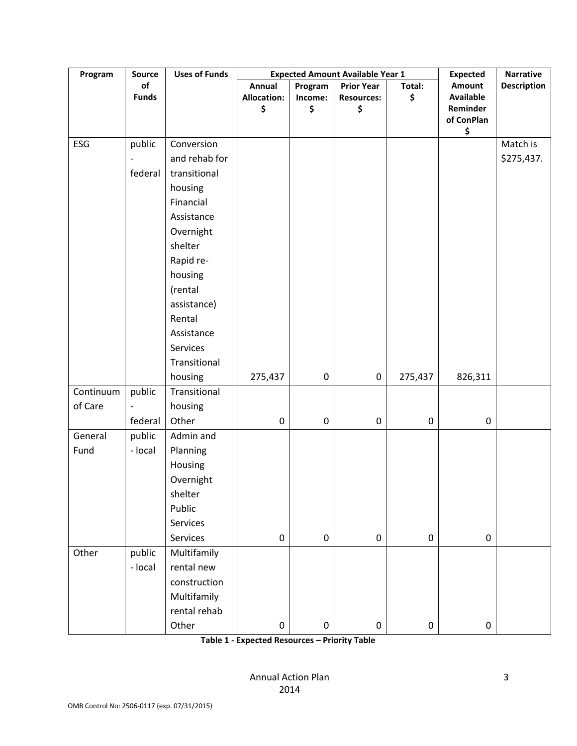| Program   | Source                   | <b>Uses of Funds</b> |                    | <b>Expected Amount Available Year 1</b> | <b>Expected</b>   | <b>Narrative</b> |                              |                    |
|-----------|--------------------------|----------------------|--------------------|-----------------------------------------|-------------------|------------------|------------------------------|--------------------|
|           | of                       |                      | Annual             | Program                                 | <b>Prior Year</b> | Total:           | <b>Amount</b>                | <b>Description</b> |
|           | <b>Funds</b>             |                      | <b>Allocation:</b> | Income:<br>\$                           | <b>Resources:</b> | \$               | <b>Available</b><br>Reminder |                    |
|           |                          |                      | \$                 |                                         | \$                |                  | of ConPlan                   |                    |
|           |                          |                      |                    |                                         |                   |                  | \$                           |                    |
| ESG       | public                   | Conversion           |                    |                                         |                   |                  |                              | Match is           |
|           | $\qquad \qquad -$        | and rehab for        |                    |                                         |                   |                  |                              | \$275,437.         |
|           | federal                  | transitional         |                    |                                         |                   |                  |                              |                    |
|           |                          | housing              |                    |                                         |                   |                  |                              |                    |
|           |                          | Financial            |                    |                                         |                   |                  |                              |                    |
|           |                          | Assistance           |                    |                                         |                   |                  |                              |                    |
|           |                          | Overnight            |                    |                                         |                   |                  |                              |                    |
|           |                          | shelter              |                    |                                         |                   |                  |                              |                    |
|           |                          | Rapid re-            |                    |                                         |                   |                  |                              |                    |
|           |                          | housing              |                    |                                         |                   |                  |                              |                    |
|           |                          | (rental              |                    |                                         |                   |                  |                              |                    |
|           |                          | assistance)          |                    |                                         |                   |                  |                              |                    |
|           |                          | Rental               |                    |                                         |                   |                  |                              |                    |
|           |                          | Assistance           |                    |                                         |                   |                  |                              |                    |
|           |                          | Services             |                    |                                         |                   |                  |                              |                    |
|           |                          | Transitional         |                    |                                         |                   |                  |                              |                    |
|           |                          | housing              | 275,437            | $\pmb{0}$                               | $\mathbf 0$       | 275,437          | 826,311                      |                    |
| Continuum | public                   | Transitional         |                    |                                         |                   |                  |                              |                    |
| of Care   | $\overline{\phantom{0}}$ | housing              |                    |                                         |                   |                  |                              |                    |
|           | federal                  | Other                | $\pmb{0}$          | $\pmb{0}$                               | $\pmb{0}$         | $\pmb{0}$        | $\pmb{0}$                    |                    |
| General   | public                   | Admin and            |                    |                                         |                   |                  |                              |                    |
| Fund      | - local                  | Planning             |                    |                                         |                   |                  |                              |                    |
|           |                          | Housing              |                    |                                         |                   |                  |                              |                    |
|           |                          | Overnight            |                    |                                         |                   |                  |                              |                    |
|           |                          | shelter              |                    |                                         |                   |                  |                              |                    |
|           |                          | Public               |                    |                                         |                   |                  |                              |                    |
|           |                          | Services             |                    |                                         |                   |                  |                              |                    |
|           |                          | Services             | $\boldsymbol{0}$   | $\pmb{0}$                               | $\pmb{0}$         | $\pmb{0}$        | $\pmb{0}$                    |                    |
| Other     | public                   | Multifamily          |                    |                                         |                   |                  |                              |                    |
|           | - local                  | rental new           |                    |                                         |                   |                  |                              |                    |
|           |                          | construction         |                    |                                         |                   |                  |                              |                    |
|           |                          | Multifamily          |                    |                                         |                   |                  |                              |                    |
|           |                          | rental rehab         |                    |                                         |                   |                  |                              |                    |
|           |                          | Other                | $\pmb{0}$          | $\pmb{0}$                               | $\pmb{0}$         | $\pmb{0}$        | $\pmb{0}$                    |                    |

**Table 1 - Expected Resources – Priority Table**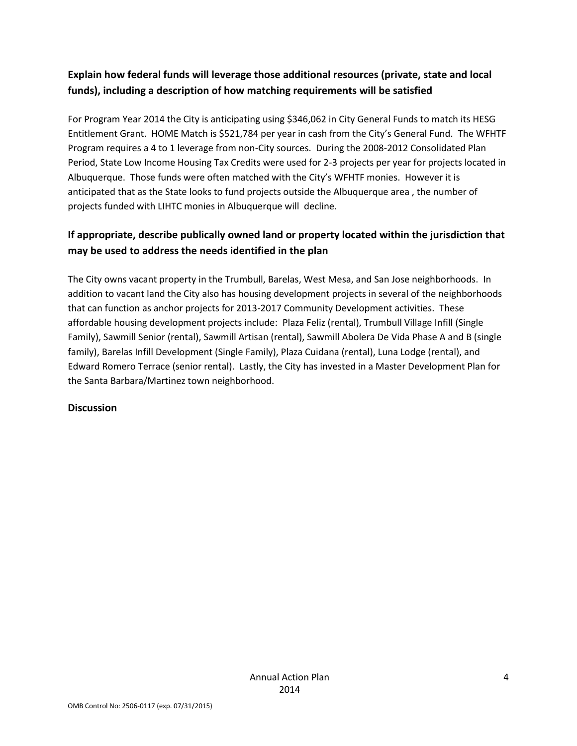## **Explain how federal funds will leverage those additional resources (private, state and local funds), including a description of how matching requirements will be satisfied**

For Program Year 2014 the City is anticipating using \$346,062 in City General Funds to match its HESG Entitlement Grant. HOME Match is \$521,784 per year in cash from the City's General Fund. The WFHTF Program requires a 4 to 1 leverage from non-City sources. During the 2008-2012 Consolidated Plan Period, State Low Income Housing Tax Credits were used for 2-3 projects per year for projects located in Albuquerque. Those funds were often matched with the City's WFHTF monies. However it is anticipated that as the State looks to fund projects outside the Albuquerque area , the number of projects funded with LIHTC monies in Albuquerque will decline.

## **If appropriate, describe publically owned land or property located within the jurisdiction that may be used to address the needs identified in the plan**

The City owns vacant property in the Trumbull, Barelas, West Mesa, and San Jose neighborhoods. In addition to vacant land the City also has housing development projects in several of the neighborhoods that can function as anchor projects for 2013-2017 Community Development activities. These affordable housing development projects include: Plaza Feliz (rental), Trumbull Village Infill (Single Family), Sawmill Senior (rental), Sawmill Artisan (rental), Sawmill Abolera De Vida Phase A and B (single family), Barelas Infill Development (Single Family), Plaza Cuidana (rental), Luna Lodge (rental), and Edward Romero Terrace (senior rental). Lastly, the City has invested in a Master Development Plan for the Santa Barbara/Martinez town neighborhood.

#### **Discussion**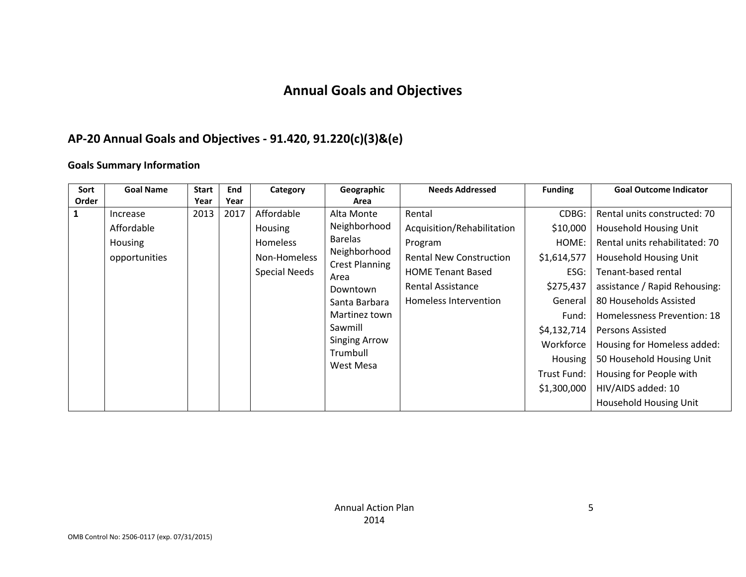# **Annual Goals and Objectives**

## **AP-20 Annual Goals and Objectives - 91.420, 91.220(c)(3)&(e)**

#### **Goals Summary Information**

| Sort  | <b>Goal Name</b> | <b>Start</b> | End  | Category             | Geographic                            | <b>Needs Addressed</b>         | <b>Funding</b> | <b>Goal Outcome Indicator</b>  |
|-------|------------------|--------------|------|----------------------|---------------------------------------|--------------------------------|----------------|--------------------------------|
| Order |                  | Year         | Year |                      | Area                                  |                                |                |                                |
| 1     | Increase         | 2013         | 2017 | Affordable           | Alta Monte                            | Rental                         | CDBG:          | Rental units constructed: 70   |
|       | Affordable       |              |      | <b>Housing</b>       | Neighborhood                          | Acquisition/Rehabilitation     | \$10,000       | Household Housing Unit         |
|       | <b>Housing</b>   |              |      | <b>Homeless</b>      | <b>Barelas</b>                        | Program                        | HOME:          | Rental units rehabilitated: 70 |
|       | opportunities    |              |      | Non-Homeless         | Neighborhood<br><b>Crest Planning</b> | <b>Rental New Construction</b> | \$1,614,577    | <b>Household Housing Unit</b>  |
|       |                  |              |      | <b>Special Needs</b> | Area                                  | <b>HOME Tenant Based</b>       | ESG:           | Tenant-based rental            |
|       |                  |              |      |                      | Downtown                              | <b>Rental Assistance</b>       | \$275,437      | assistance / Rapid Rehousing:  |
|       |                  |              |      |                      | Santa Barbara                         | Homeless Intervention          | General        | 80 Households Assisted         |
|       |                  |              |      |                      | Martinez town                         |                                | Fund:          | Homelessness Prevention: 18    |
|       |                  |              |      |                      | Sawmill                               |                                | \$4,132,714    | Persons Assisted               |
|       |                  |              |      |                      | <b>Singing Arrow</b><br>Trumbull      |                                | Workforce      | Housing for Homeless added:    |
|       |                  |              |      |                      | West Mesa                             |                                | Housing        | 50 Household Housing Unit      |
|       |                  |              |      |                      |                                       |                                | Trust Fund:    | Housing for People with        |
|       |                  |              |      |                      |                                       |                                | \$1,300,000    | HIV/AIDS added: 10             |
|       |                  |              |      |                      |                                       |                                |                | <b>Household Housing Unit</b>  |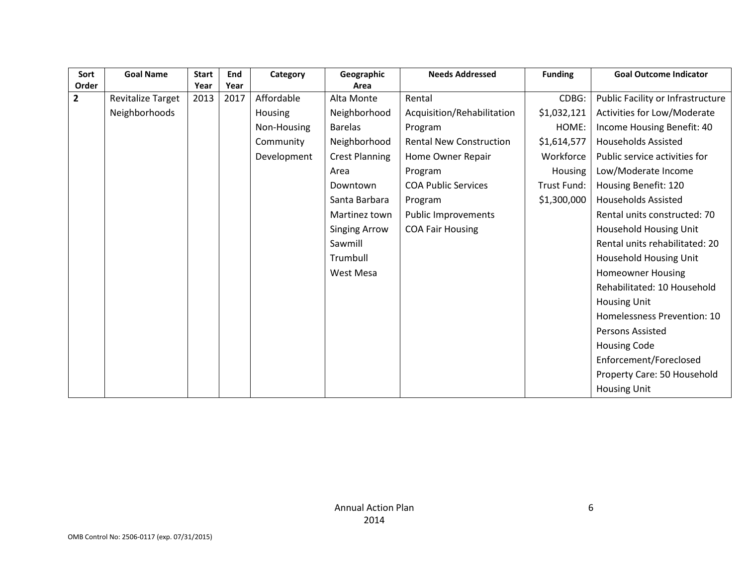| Sort           | <b>Goal Name</b>         | <b>Start</b> | End  | Category    | Geographic            | <b>Needs Addressed</b>         | <b>Funding</b> | <b>Goal Outcome Indicator</b>     |
|----------------|--------------------------|--------------|------|-------------|-----------------------|--------------------------------|----------------|-----------------------------------|
| Order          |                          | Year         | Year |             | Area                  |                                |                |                                   |
| $\overline{2}$ | <b>Revitalize Target</b> | 2013         | 2017 | Affordable  | Alta Monte            | Rental                         | CDBG:          | Public Facility or Infrastructure |
|                | Neighborhoods            |              |      | Housing     | Neighborhood          | Acquisition/Rehabilitation     | \$1,032,121    | Activities for Low/Moderate       |
|                |                          |              |      | Non-Housing | <b>Barelas</b>        | Program                        | HOME:          | Income Housing Benefit: 40        |
|                |                          |              |      | Community   | Neighborhood          | <b>Rental New Construction</b> | \$1,614,577    | <b>Households Assisted</b>        |
|                |                          |              |      | Development | <b>Crest Planning</b> | Home Owner Repair              | Workforce      | Public service activities for     |
|                |                          |              |      |             | Area                  | Program                        | Housing        | Low/Moderate Income               |
|                |                          |              |      |             | Downtown              | <b>COA Public Services</b>     | Trust Fund:    | Housing Benefit: 120              |
|                |                          |              |      |             | Santa Barbara         | Program                        | \$1,300,000    | <b>Households Assisted</b>        |
|                |                          |              |      |             | Martinez town         | <b>Public Improvements</b>     |                | Rental units constructed: 70      |
|                |                          |              |      |             | <b>Singing Arrow</b>  | <b>COA Fair Housing</b>        |                | Household Housing Unit            |
|                |                          |              |      |             | Sawmill               |                                |                | Rental units rehabilitated: 20    |
|                |                          |              |      |             | Trumbull              |                                |                | Household Housing Unit            |
|                |                          |              |      |             | West Mesa             |                                |                | <b>Homeowner Housing</b>          |
|                |                          |              |      |             |                       |                                |                | Rehabilitated: 10 Household       |
|                |                          |              |      |             |                       |                                |                | <b>Housing Unit</b>               |
|                |                          |              |      |             |                       |                                |                | Homelessness Prevention: 10       |
|                |                          |              |      |             |                       |                                |                | <b>Persons Assisted</b>           |
|                |                          |              |      |             |                       |                                |                | <b>Housing Code</b>               |
|                |                          |              |      |             |                       |                                |                | Enforcement/Foreclosed            |
|                |                          |              |      |             |                       |                                |                | Property Care: 50 Household       |
|                |                          |              |      |             |                       |                                |                | <b>Housing Unit</b>               |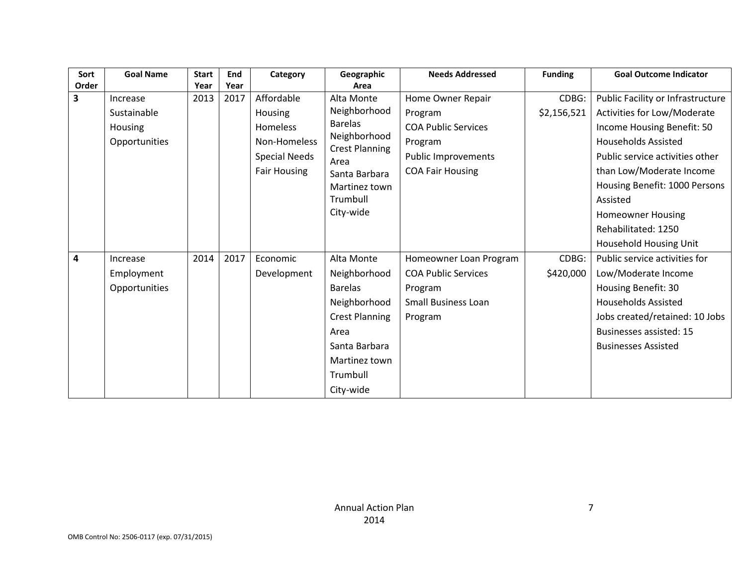| Sort<br>Order | <b>Goal Name</b> | <b>Start</b><br>Year | End<br>Year | Category             | Geographic<br>Area            | <b>Needs Addressed</b>     | <b>Funding</b> | <b>Goal Outcome Indicator</b>     |
|---------------|------------------|----------------------|-------------|----------------------|-------------------------------|----------------------------|----------------|-----------------------------------|
| 3             | Increase         | 2013                 | 2017        | Affordable           | Alta Monte                    | Home Owner Repair          | CDBG:          | Public Facility or Infrastructure |
|               | Sustainable      |                      |             | Housing              | Neighborhood                  | Program                    | \$2,156,521    | Activities for Low/Moderate       |
|               | Housing          |                      |             | Homeless             | <b>Barelas</b>                | <b>COA Public Services</b> |                | Income Housing Benefit: 50        |
|               | Opportunities    |                      |             | Non-Homeless         | Neighborhood                  | Program                    |                | <b>Households Assisted</b>        |
|               |                  |                      |             | <b>Special Needs</b> | <b>Crest Planning</b><br>Area | <b>Public Improvements</b> |                | Public service activities other   |
|               |                  |                      |             | <b>Fair Housing</b>  | Santa Barbara                 | <b>COA Fair Housing</b>    |                | than Low/Moderate Income          |
|               |                  |                      |             |                      | Martinez town                 |                            |                | Housing Benefit: 1000 Persons     |
|               |                  |                      |             |                      | Trumbull                      |                            |                | Assisted                          |
|               |                  |                      |             |                      | City-wide                     |                            |                | <b>Homeowner Housing</b>          |
|               |                  |                      |             |                      |                               |                            |                | Rehabilitated: 1250               |
|               |                  |                      |             |                      |                               |                            |                | Household Housing Unit            |
| 4             | Increase         | 2014                 | 2017        | Economic             | Alta Monte                    | Homeowner Loan Program     | CDBG:          | Public service activities for     |
|               | Employment       |                      |             | Development          | Neighborhood                  | <b>COA Public Services</b> | \$420,000      | Low/Moderate Income               |
|               | Opportunities    |                      |             |                      | <b>Barelas</b>                | Program                    |                | Housing Benefit: 30               |
|               |                  |                      |             |                      | Neighborhood                  | <b>Small Business Loan</b> |                | <b>Households Assisted</b>        |
|               |                  |                      |             |                      | <b>Crest Planning</b>         | Program                    |                | Jobs created/retained: 10 Jobs    |
|               |                  |                      |             |                      | Area                          |                            |                | <b>Businesses assisted: 15</b>    |
|               |                  |                      |             |                      | Santa Barbara                 |                            |                | <b>Businesses Assisted</b>        |
|               |                  |                      |             |                      | Martinez town                 |                            |                |                                   |
|               |                  |                      |             |                      | Trumbull                      |                            |                |                                   |
|               |                  |                      |             |                      | City-wide                     |                            |                |                                   |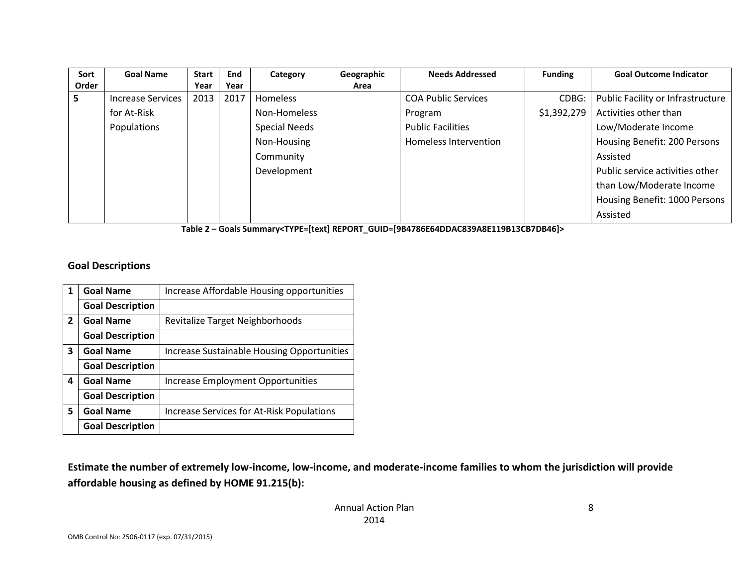| Sort  | <b>Goal Name</b>         | <b>Start</b> | End  | Category             | Geographic | <b>Needs Addressed</b>     | <b>Funding</b> | <b>Goal Outcome Indicator</b>     |
|-------|--------------------------|--------------|------|----------------------|------------|----------------------------|----------------|-----------------------------------|
| Order |                          | Year         | Year |                      | Area       |                            |                |                                   |
| 5     | <b>Increase Services</b> | 2013         | 2017 | Homeless             |            | <b>COA Public Services</b> | CDBG:          | Public Facility or Infrastructure |
|       | for At-Risk              |              |      | Non-Homeless         |            | Program                    | \$1,392,279    | Activities other than             |
|       | Populations              |              |      | <b>Special Needs</b> |            | <b>Public Facilities</b>   |                | Low/Moderate Income               |
|       |                          |              |      | Non-Housing          |            | Homeless Intervention      |                | Housing Benefit: 200 Persons      |
|       |                          |              |      | Community            |            |                            |                | Assisted                          |
|       |                          |              |      | Development          |            |                            |                | Public service activities other   |
|       |                          |              |      |                      |            |                            |                | than Low/Moderate Income          |
|       |                          |              |      |                      |            |                            |                | Housing Benefit: 1000 Persons     |
|       |                          |              |      |                      |            |                            |                | Assisted                          |

**Table 2 – Goals Summary<TYPE=[text] REPORT\_GUID=[9B4786E64DDAC839A8E119B13CB7DB46]>**

**Goal Descriptions**

|              | <b>Goal Name</b>        | Increase Affordable Housing opportunities         |
|--------------|-------------------------|---------------------------------------------------|
|              | <b>Goal Description</b> |                                                   |
| $\mathbf{2}$ | <b>Goal Name</b>        | Revitalize Target Neighborhoods                   |
|              | <b>Goal Description</b> |                                                   |
| 3            | <b>Goal Name</b>        | <b>Increase Sustainable Housing Opportunities</b> |
|              | <b>Goal Description</b> |                                                   |
| 4            | <b>Goal Name</b>        | Increase Employment Opportunities                 |
|              | <b>Goal Description</b> |                                                   |
| 5            | <b>Goal Name</b>        | Increase Services for At-Risk Populations         |
|              | <b>Goal Description</b> |                                                   |

**Estimate the number of extremely low-income, low-income, and moderate-income families to whom the jurisdiction will provide affordable housing as defined by HOME 91.215(b):**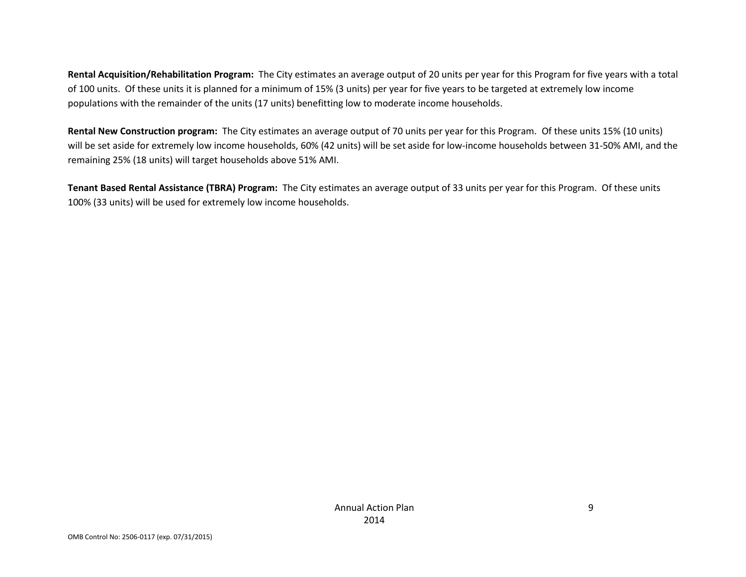**Rental Acquisition/Rehabilitation Program:** The City estimates an average output of 20 units per year for this Program for five years with a total of 100 units. Of these units it is planned for a minimum of 15% (3 units) per year for five years to be targeted at extremely low income populations with the remainder of the units (17 units) benefitting low to moderate income households.

**Rental New Construction program:** The City estimates an average output of 70 units per year for this Program. Of these units 15% (10 units) will be set aside for extremely low income households, 60% (42 units) will be set aside for low-income households between 31-50% AMI, and the remaining 25% (18 units) will target households above 51% AMI.

**Tenant Based Rental Assistance (TBRA) Program:** The City estimates an average output of 33 units per year for this Program. Of these units 100% (33 units) will be used for extremely low income households.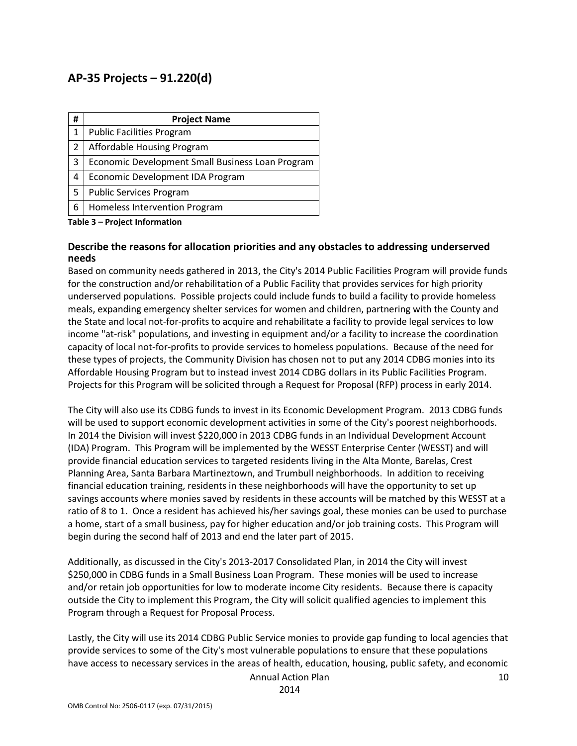## **AP-35 Projects – 91.220(d)**

| # | <b>Project Name</b>                              |
|---|--------------------------------------------------|
| 1 | <b>Public Facilities Program</b>                 |
| 2 | Affordable Housing Program                       |
| 3 | Economic Development Small Business Loan Program |
| 4 | Economic Development IDA Program                 |
| 5 | <b>Public Services Program</b>                   |
| 6 | Homeless Intervention Program                    |

**Table 3 – Project Information**

#### **Describe the reasons for allocation priorities and any obstacles to addressing underserved needs**

Based on community needs gathered in 2013, the City's 2014 Public Facilities Program will provide funds for the construction and/or rehabilitation of a Public Facility that provides services for high priority underserved populations. Possible projects could include funds to build a facility to provide homeless meals, expanding emergency shelter services for women and children, partnering with the County and the State and local not-for-profits to acquire and rehabilitate a facility to provide legal services to low income "at-risk" populations, and investing in equipment and/or a facility to increase the coordination capacity of local not-for-profits to provide services to homeless populations. Because of the need for these types of projects, the Community Division has chosen not to put any 2014 CDBG monies into its Affordable Housing Program but to instead invest 2014 CDBG dollars in its Public Facilities Program. Projects for this Program will be solicited through a Request for Proposal (RFP) process in early 2014.

The City will also use its CDBG funds to invest in its Economic Development Program. 2013 CDBG funds will be used to support economic development activities in some of the City's poorest neighborhoods. In 2014 the Division will invest \$220,000 in 2013 CDBG funds in an Individual Development Account (IDA) Program. This Program will be implemented by the WESST Enterprise Center (WESST) and will provide financial education services to targeted residents living in the Alta Monte, Barelas, Crest Planning Area, Santa Barbara Martineztown, and Trumbull neighborhoods. In addition to receiving financial education training, residents in these neighborhoods will have the opportunity to set up savings accounts where monies saved by residents in these accounts will be matched by this WESST at a ratio of 8 to 1. Once a resident has achieved his/her savings goal, these monies can be used to purchase a home, start of a small business, pay for higher education and/or job training costs. This Program will begin during the second half of 2013 and end the later part of 2015.

Additionally, as discussed in the City's 2013-2017 Consolidated Plan, in 2014 the City will invest \$250,000 in CDBG funds in a Small Business Loan Program. These monies will be used to increase and/or retain job opportunities for low to moderate income City residents. Because there is capacity outside the City to implement this Program, the City will solicit qualified agencies to implement this Program through a Request for Proposal Process.

Lastly, the City will use its 2014 CDBG Public Service monies to provide gap funding to local agencies that provide services to some of the City's most vulnerable populations to ensure that these populations have access to necessary services in the areas of health, education, housing, public safety, and economic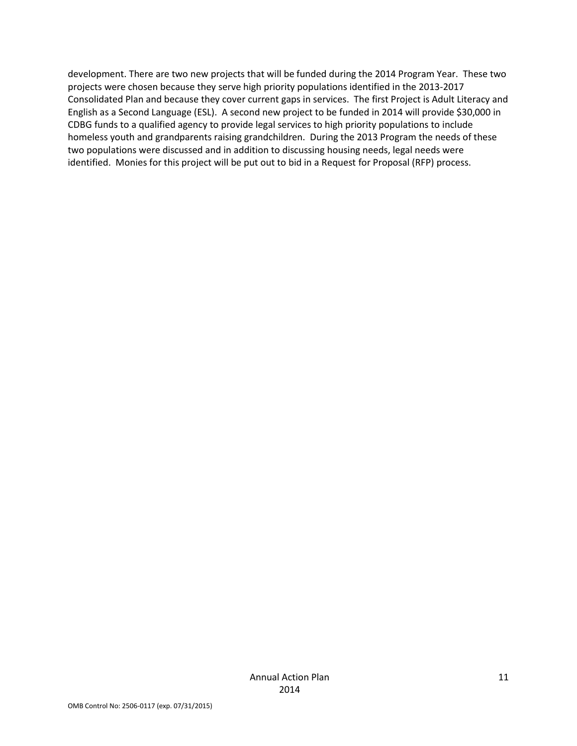development. There are two new projects that will be funded during the 2014 Program Year. These two projects were chosen because they serve high priority populations identified in the 2013-2017 Consolidated Plan and because they cover current gaps in services. The first Project is Adult Literacy and English as a Second Language (ESL). A second new project to be funded in 2014 will provide \$30,000 in CDBG funds to a qualified agency to provide legal services to high priority populations to include homeless youth and grandparents raising grandchildren. During the 2013 Program the needs of these two populations were discussed and in addition to discussing housing needs, legal needs were identified. Monies for this project will be put out to bid in a Request for Proposal (RFP) process.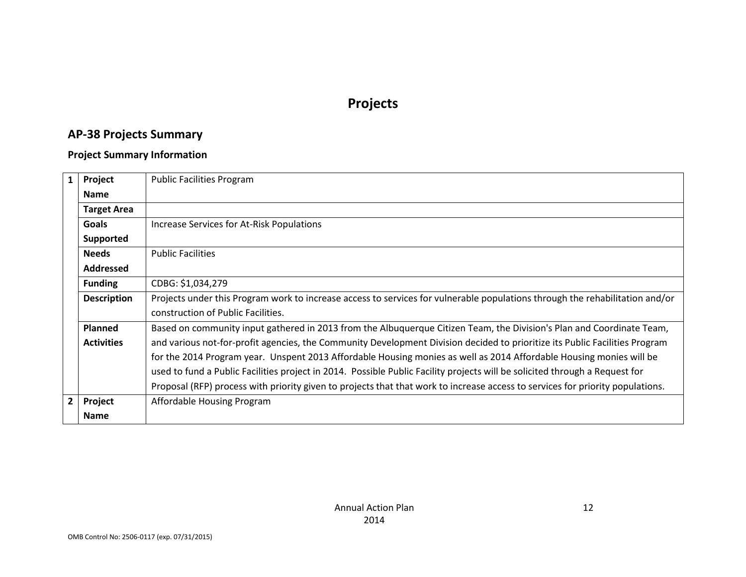# **Projects**

# **AP-38 Projects Summary**

#### **Project Summary Information**

| $\mathbf{1}$   | Project            | <b>Public Facilities Program</b>                                                                                               |
|----------------|--------------------|--------------------------------------------------------------------------------------------------------------------------------|
|                | <b>Name</b>        |                                                                                                                                |
|                | <b>Target Area</b> |                                                                                                                                |
|                | <b>Goals</b>       | Increase Services for At-Risk Populations                                                                                      |
|                | <b>Supported</b>   |                                                                                                                                |
|                | <b>Needs</b>       | <b>Public Facilities</b>                                                                                                       |
|                | <b>Addressed</b>   |                                                                                                                                |
|                | <b>Funding</b>     | CDBG: \$1,034,279                                                                                                              |
|                | <b>Description</b> | Projects under this Program work to increase access to services for vulnerable populations through the rehabilitation and/or   |
|                |                    | construction of Public Facilities.                                                                                             |
|                | <b>Planned</b>     | Based on community input gathered in 2013 from the Albuquerque Citizen Team, the Division's Plan and Coordinate Team,          |
|                | <b>Activities</b>  | and various not-for-profit agencies, the Community Development Division decided to prioritize its Public Facilities Program    |
|                |                    | for the 2014 Program year. Unspent 2013 Affordable Housing monies as well as 2014 Affordable Housing monies will be            |
|                |                    | used to fund a Public Facilities project in 2014. Possible Public Facility projects will be solicited through a Request for    |
|                |                    | Proposal (RFP) process with priority given to projects that that work to increase access to services for priority populations. |
| $\overline{2}$ | Project            | Affordable Housing Program                                                                                                     |
|                | <b>Name</b>        |                                                                                                                                |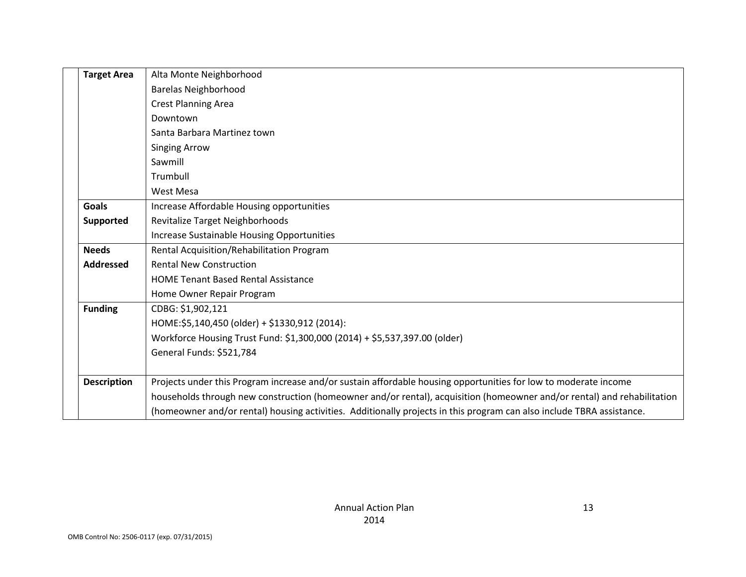| <b>Target Area</b> | Alta Monte Neighborhood                                                                                                 |
|--------------------|-------------------------------------------------------------------------------------------------------------------------|
|                    | <b>Barelas Neighborhood</b>                                                                                             |
|                    | <b>Crest Planning Area</b>                                                                                              |
|                    | Downtown                                                                                                                |
|                    | Santa Barbara Martinez town                                                                                             |
|                    | <b>Singing Arrow</b>                                                                                                    |
|                    | Sawmill                                                                                                                 |
|                    | Trumbull                                                                                                                |
|                    | <b>West Mesa</b>                                                                                                        |
| <b>Goals</b>       | Increase Affordable Housing opportunities                                                                               |
| Supported          | Revitalize Target Neighborhoods                                                                                         |
|                    | Increase Sustainable Housing Opportunities                                                                              |
| <b>Needs</b>       | Rental Acquisition/Rehabilitation Program                                                                               |
| <b>Addressed</b>   | <b>Rental New Construction</b>                                                                                          |
|                    | <b>HOME Tenant Based Rental Assistance</b>                                                                              |
|                    | Home Owner Repair Program                                                                                               |
| <b>Funding</b>     | CDBG: \$1,902,121                                                                                                       |
|                    | HOME:\$5,140,450 (older) + \$1330,912 (2014):                                                                           |
|                    | Workforce Housing Trust Fund: \$1,300,000 (2014) + \$5,537,397.00 (older)                                               |
|                    | General Funds: \$521,784                                                                                                |
|                    |                                                                                                                         |
| <b>Description</b> | Projects under this Program increase and/or sustain affordable housing opportunities for low to moderate income         |
|                    | households through new construction (homeowner and/or rental), acquisition (homeowner and/or rental) and rehabilitation |
|                    | (homeowner and/or rental) housing activities. Additionally projects in this program can also include TBRA assistance.   |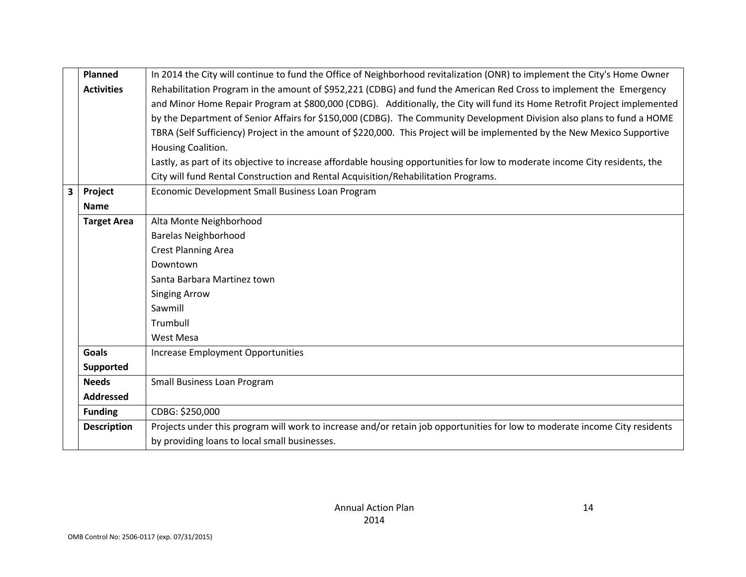|   | Planned            | In 2014 the City will continue to fund the Office of Neighborhood revitalization (ONR) to implement the City's Home Owner    |  |  |  |  |  |
|---|--------------------|------------------------------------------------------------------------------------------------------------------------------|--|--|--|--|--|
|   | <b>Activities</b>  | Rehabilitation Program in the amount of \$952,221 (CDBG) and fund the American Red Cross to implement the Emergency          |  |  |  |  |  |
|   |                    | and Minor Home Repair Program at \$800,000 (CDBG). Additionally, the City will fund its Home Retrofit Project implemented    |  |  |  |  |  |
|   |                    | by the Department of Senior Affairs for \$150,000 (CDBG). The Community Development Division also plans to fund a HOME       |  |  |  |  |  |
|   |                    | TBRA (Self Sufficiency) Project in the amount of \$220,000. This Project will be implemented by the New Mexico Supportive    |  |  |  |  |  |
|   |                    | Housing Coalition.                                                                                                           |  |  |  |  |  |
|   |                    | Lastly, as part of its objective to increase affordable housing opportunities for low to moderate income City residents, the |  |  |  |  |  |
|   |                    | City will fund Rental Construction and Rental Acquisition/Rehabilitation Programs.                                           |  |  |  |  |  |
| 3 | Project            | Economic Development Small Business Loan Program                                                                             |  |  |  |  |  |
|   | <b>Name</b>        |                                                                                                                              |  |  |  |  |  |
|   | <b>Target Area</b> | Alta Monte Neighborhood                                                                                                      |  |  |  |  |  |
|   |                    | <b>Barelas Neighborhood</b>                                                                                                  |  |  |  |  |  |
|   |                    | <b>Crest Planning Area</b>                                                                                                   |  |  |  |  |  |
|   |                    | Downtown                                                                                                                     |  |  |  |  |  |
|   |                    | Santa Barbara Martinez town                                                                                                  |  |  |  |  |  |
|   |                    | <b>Singing Arrow</b>                                                                                                         |  |  |  |  |  |
|   |                    | Sawmill                                                                                                                      |  |  |  |  |  |
|   |                    | Trumbull                                                                                                                     |  |  |  |  |  |
|   |                    | West Mesa                                                                                                                    |  |  |  |  |  |
|   | <b>Goals</b>       | <b>Increase Employment Opportunities</b>                                                                                     |  |  |  |  |  |
|   | Supported          |                                                                                                                              |  |  |  |  |  |
|   | <b>Needs</b>       | Small Business Loan Program                                                                                                  |  |  |  |  |  |
|   | <b>Addressed</b>   |                                                                                                                              |  |  |  |  |  |
|   | <b>Funding</b>     | CDBG: \$250,000                                                                                                              |  |  |  |  |  |
|   | <b>Description</b> | Projects under this program will work to increase and/or retain job opportunities for low to moderate income City residents  |  |  |  |  |  |
|   |                    | by providing loans to local small businesses.                                                                                |  |  |  |  |  |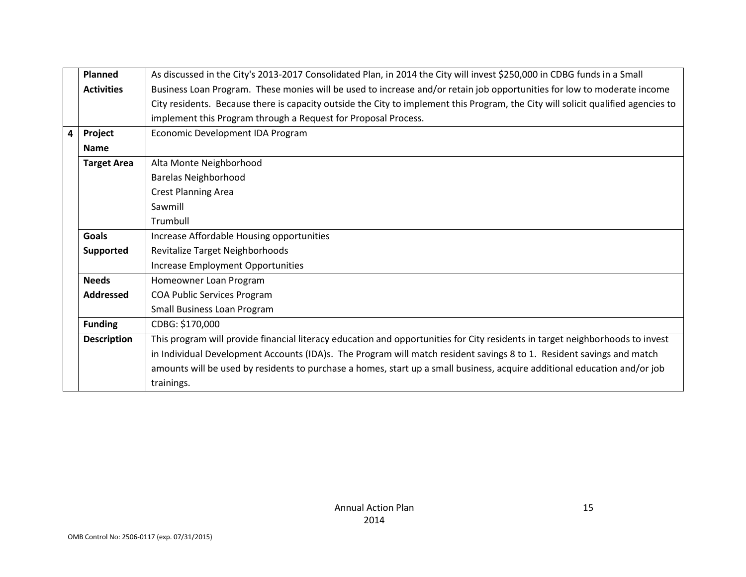|                | <b>Planned</b>     | As discussed in the City's 2013-2017 Consolidated Plan, in 2014 the City will invest \$250,000 in CDBG funds in a Small           |  |  |  |  |  |  |
|----------------|--------------------|-----------------------------------------------------------------------------------------------------------------------------------|--|--|--|--|--|--|
|                | <b>Activities</b>  | Business Loan Program. These monies will be used to increase and/or retain job opportunities for low to moderate income           |  |  |  |  |  |  |
|                |                    | City residents. Because there is capacity outside the City to implement this Program, the City will solicit qualified agencies to |  |  |  |  |  |  |
|                |                    | implement this Program through a Request for Proposal Process.                                                                    |  |  |  |  |  |  |
| $\overline{a}$ | Project            | Economic Development IDA Program                                                                                                  |  |  |  |  |  |  |
|                | <b>Name</b>        |                                                                                                                                   |  |  |  |  |  |  |
|                | <b>Target Area</b> | Alta Monte Neighborhood                                                                                                           |  |  |  |  |  |  |
|                |                    | <b>Barelas Neighborhood</b>                                                                                                       |  |  |  |  |  |  |
|                |                    | <b>Crest Planning Area</b>                                                                                                        |  |  |  |  |  |  |
|                |                    | Sawmill                                                                                                                           |  |  |  |  |  |  |
|                |                    | Trumbull                                                                                                                          |  |  |  |  |  |  |
|                | <b>Goals</b>       | Increase Affordable Housing opportunities                                                                                         |  |  |  |  |  |  |
|                | <b>Supported</b>   | Revitalize Target Neighborhoods                                                                                                   |  |  |  |  |  |  |
|                |                    | Increase Employment Opportunities                                                                                                 |  |  |  |  |  |  |
|                | <b>Needs</b>       | Homeowner Loan Program                                                                                                            |  |  |  |  |  |  |
|                | <b>Addressed</b>   | <b>COA Public Services Program</b>                                                                                                |  |  |  |  |  |  |
|                |                    | <b>Small Business Loan Program</b>                                                                                                |  |  |  |  |  |  |
|                | <b>Funding</b>     | CDBG: \$170,000                                                                                                                   |  |  |  |  |  |  |
|                | <b>Description</b> | This program will provide financial literacy education and opportunities for City residents in target neighborhoods to invest     |  |  |  |  |  |  |
|                |                    | in Individual Development Accounts (IDA)s. The Program will match resident savings 8 to 1. Resident savings and match             |  |  |  |  |  |  |
|                |                    | amounts will be used by residents to purchase a homes, start up a small business, acquire additional education and/or job         |  |  |  |  |  |  |
|                |                    | trainings.                                                                                                                        |  |  |  |  |  |  |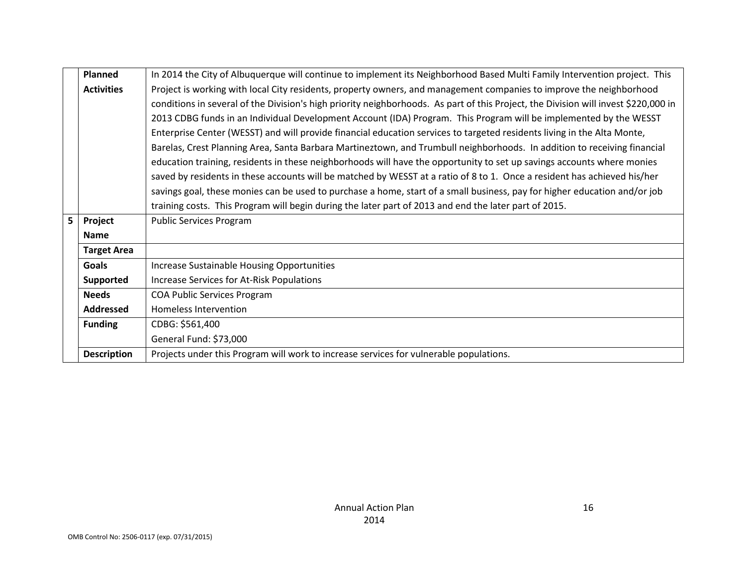|                | Planned            | In 2014 the City of Albuquerque will continue to implement its Neighborhood Based Multi Family Intervention project. This           |  |  |
|----------------|--------------------|-------------------------------------------------------------------------------------------------------------------------------------|--|--|
|                | <b>Activities</b>  | Project is working with local City residents, property owners, and management companies to improve the neighborhood                 |  |  |
|                |                    | conditions in several of the Division's high priority neighborhoods. As part of this Project, the Division will invest \$220,000 in |  |  |
|                |                    | 2013 CDBG funds in an Individual Development Account (IDA) Program. This Program will be implemented by the WESST                   |  |  |
|                |                    | Enterprise Center (WESST) and will provide financial education services to targeted residents living in the Alta Monte,             |  |  |
|                |                    | Barelas, Crest Planning Area, Santa Barbara Martineztown, and Trumbull neighborhoods. In addition to receiving financial            |  |  |
|                |                    | education training, residents in these neighborhoods will have the opportunity to set up savings accounts where monies              |  |  |
|                |                    | saved by residents in these accounts will be matched by WESST at a ratio of 8 to 1. Once a resident has achieved his/her            |  |  |
|                |                    | savings goal, these monies can be used to purchase a home, start of a small business, pay for higher education and/or job           |  |  |
|                |                    | training costs. This Program will begin during the later part of 2013 and end the later part of 2015.                               |  |  |
| 5 <sup>1</sup> | Project            | <b>Public Services Program</b>                                                                                                      |  |  |
|                | <b>Name</b>        |                                                                                                                                     |  |  |
|                | <b>Target Area</b> |                                                                                                                                     |  |  |
|                | Goals              | Increase Sustainable Housing Opportunities                                                                                          |  |  |
|                | Supported          | Increase Services for At-Risk Populations                                                                                           |  |  |
|                | <b>Needs</b>       | <b>COA Public Services Program</b>                                                                                                  |  |  |
|                | <b>Addressed</b>   | Homeless Intervention                                                                                                               |  |  |
|                | <b>Funding</b>     | CDBG: \$561,400                                                                                                                     |  |  |
|                |                    | General Fund: \$73,000                                                                                                              |  |  |
|                |                    |                                                                                                                                     |  |  |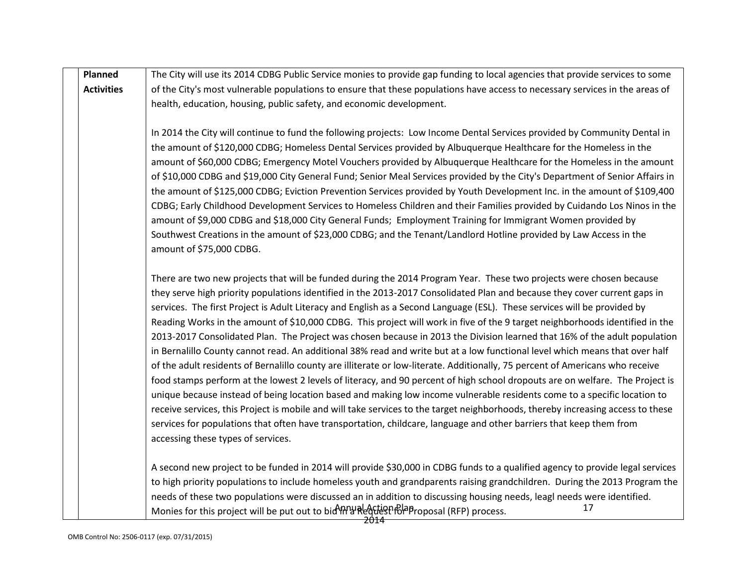| Planned           | The City will use its 2014 CDBG Public Service monies to provide gap funding to local agencies that provide services to some                                                                                                                                                                                                                                                                                                                                                                                                                                                                                                                                                                                                                                                                                                                                                                                                                                                                                                                                                                                                                                                                                                                                                                                                                                                                                                                                           |
|-------------------|------------------------------------------------------------------------------------------------------------------------------------------------------------------------------------------------------------------------------------------------------------------------------------------------------------------------------------------------------------------------------------------------------------------------------------------------------------------------------------------------------------------------------------------------------------------------------------------------------------------------------------------------------------------------------------------------------------------------------------------------------------------------------------------------------------------------------------------------------------------------------------------------------------------------------------------------------------------------------------------------------------------------------------------------------------------------------------------------------------------------------------------------------------------------------------------------------------------------------------------------------------------------------------------------------------------------------------------------------------------------------------------------------------------------------------------------------------------------|
| <b>Activities</b> | of the City's most vulnerable populations to ensure that these populations have access to necessary services in the areas of                                                                                                                                                                                                                                                                                                                                                                                                                                                                                                                                                                                                                                                                                                                                                                                                                                                                                                                                                                                                                                                                                                                                                                                                                                                                                                                                           |
|                   | health, education, housing, public safety, and economic development.                                                                                                                                                                                                                                                                                                                                                                                                                                                                                                                                                                                                                                                                                                                                                                                                                                                                                                                                                                                                                                                                                                                                                                                                                                                                                                                                                                                                   |
|                   | In 2014 the City will continue to fund the following projects: Low Income Dental Services provided by Community Dental in<br>the amount of \$120,000 CDBG; Homeless Dental Services provided by Albuquerque Healthcare for the Homeless in the<br>amount of \$60,000 CDBG; Emergency Motel Vouchers provided by Albuquerque Healthcare for the Homeless in the amount<br>of \$10,000 CDBG and \$19,000 City General Fund; Senior Meal Services provided by the City's Department of Senior Affairs in<br>the amount of \$125,000 CDBG; Eviction Prevention Services provided by Youth Development Inc. in the amount of \$109,400<br>CDBG; Early Childhood Development Services to Homeless Children and their Families provided by Cuidando Los Ninos in the<br>amount of \$9,000 CDBG and \$18,000 City General Funds; Employment Training for Immigrant Women provided by<br>Southwest Creations in the amount of \$23,000 CDBG; and the Tenant/Landlord Hotline provided by Law Access in the<br>amount of \$75,000 CDBG.                                                                                                                                                                                                                                                                                                                                                                                                                                          |
|                   | There are two new projects that will be funded during the 2014 Program Year. These two projects were chosen because<br>they serve high priority populations identified in the 2013-2017 Consolidated Plan and because they cover current gaps in<br>services. The first Project is Adult Literacy and English as a Second Language (ESL). These services will be provided by<br>Reading Works in the amount of \$10,000 CDBG. This project will work in five of the 9 target neighborhoods identified in the<br>2013-2017 Consolidated Plan. The Project was chosen because in 2013 the Division learned that 16% of the adult population<br>in Bernalillo County cannot read. An additional 38% read and write but at a low functional level which means that over half<br>of the adult residents of Bernalillo county are illiterate or low-literate. Additionally, 75 percent of Americans who receive<br>food stamps perform at the lowest 2 levels of literacy, and 90 percent of high school dropouts are on welfare. The Project is<br>unique because instead of being location based and making low income vulnerable residents come to a specific location to<br>receive services, this Project is mobile and will take services to the target neighborhoods, thereby increasing access to these<br>services for populations that often have transportation, childcare, language and other barriers that keep them from<br>accessing these types of services. |
|                   | A second new project to be funded in 2014 will provide \$30,000 in CDBG funds to a qualified agency to provide legal services<br>to high priority populations to include homeless youth and grandparents raising grandchildren. During the 2013 Program the<br>needs of these two populations were discussed an in addition to discussing housing needs, leagl needs were identified.<br>17<br>Monies for this project will be put out to bid my Request for Proposal (RFP) process.                                                                                                                                                                                                                                                                                                                                                                                                                                                                                                                                                                                                                                                                                                                                                                                                                                                                                                                                                                                   |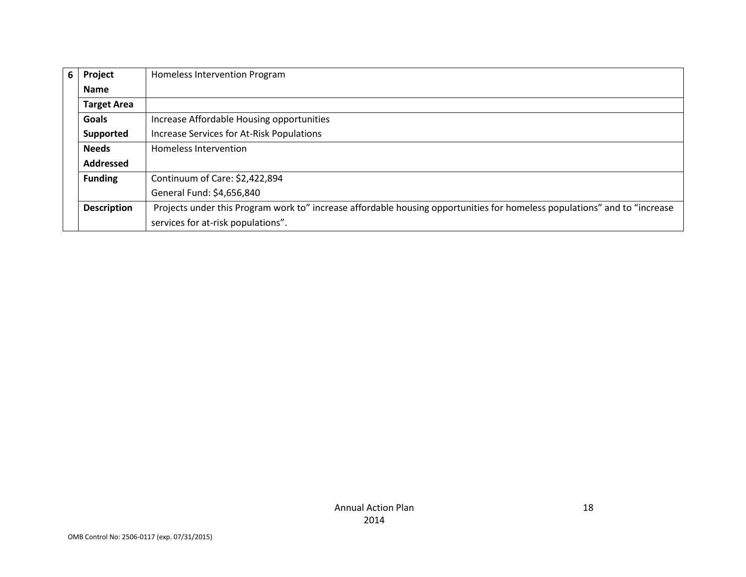| 6 | Project            | Homeless Intervention Program                                                                                             |
|---|--------------------|---------------------------------------------------------------------------------------------------------------------------|
|   | <b>Name</b>        |                                                                                                                           |
|   | <b>Target Area</b> |                                                                                                                           |
|   | Goals              | Increase Affordable Housing opportunities                                                                                 |
|   | Supported          | Increase Services for At-Risk Populations                                                                                 |
|   | <b>Needs</b>       | Homeless Intervention                                                                                                     |
|   | <b>Addressed</b>   |                                                                                                                           |
|   | <b>Funding</b>     | Continuum of Care: \$2,422,894                                                                                            |
|   |                    | General Fund: \$4,656,840                                                                                                 |
|   | <b>Description</b> | Projects under this Program work to" increase affordable housing opportunities for homeless populations" and to "increase |
|   |                    | services for at-risk populations".                                                                                        |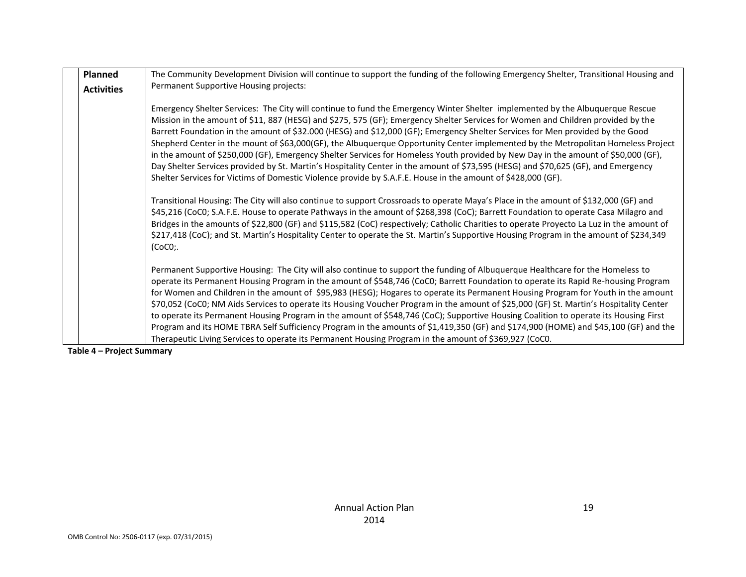| <b>Planned</b>    | The Community Development Division will continue to support the funding of the following Emergency Shelter, Transitional Housing and                                                                                                                                                                                                                                                                                                                                                                                                                                                                                                                                                                                                                                                                                                                                                                                                 |
|-------------------|--------------------------------------------------------------------------------------------------------------------------------------------------------------------------------------------------------------------------------------------------------------------------------------------------------------------------------------------------------------------------------------------------------------------------------------------------------------------------------------------------------------------------------------------------------------------------------------------------------------------------------------------------------------------------------------------------------------------------------------------------------------------------------------------------------------------------------------------------------------------------------------------------------------------------------------|
| <b>Activities</b> | Permanent Supportive Housing projects:                                                                                                                                                                                                                                                                                                                                                                                                                                                                                                                                                                                                                                                                                                                                                                                                                                                                                               |
|                   | Emergency Shelter Services: The City will continue to fund the Emergency Winter Shelter implemented by the Albuquerque Rescue<br>Mission in the amount of \$11, 887 (HESG) and \$275, 575 (GF); Emergency Shelter Services for Women and Children provided by the<br>Barrett Foundation in the amount of \$32.000 (HESG) and \$12,000 (GF); Emergency Shelter Services for Men provided by the Good<br>Shepherd Center in the mount of \$63,000(GF), the Albuquerque Opportunity Center implemented by the Metropolitan Homeless Project<br>in the amount of \$250,000 (GF), Emergency Shelter Services for Homeless Youth provided by New Day in the amount of \$50,000 (GF),<br>Day Shelter Services provided by St. Martin's Hospitality Center in the amount of \$73,595 (HESG) and \$70,625 (GF), and Emergency<br>Shelter Services for Victims of Domestic Violence provide by S.A.F.E. House in the amount of \$428,000 (GF). |
|                   | Transitional Housing: The City will also continue to support Crossroads to operate Maya's Place in the amount of \$132,000 (GF) and<br>\$45,216 (CoCO; S.A.F.E. House to operate Pathways in the amount of \$268,398 (CoC); Barrett Foundation to operate Casa Milagro and<br>Bridges in the amounts of \$22,800 (GF) and \$115,582 (CoC) respectively; Catholic Charities to operate Proyecto La Luz in the amount of<br>\$217,418 (CoC); and St. Martin's Hospitality Center to operate the St. Martin's Supportive Housing Program in the amount of \$234,349<br>(CoCO;                                                                                                                                                                                                                                                                                                                                                           |
|                   | Permanent Supportive Housing: The City will also continue to support the funding of Albuquerque Healthcare for the Homeless to<br>operate its Permanent Housing Program in the amount of \$548,746 (CoCO; Barrett Foundation to operate its Rapid Re-housing Program<br>for Women and Children in the amount of \$95,983 (HESG); Hogares to operate its Permanent Housing Program for Youth in the amount<br>\$70,052 (CoC0; NM Aids Services to operate its Housing Voucher Program in the amount of \$25,000 (GF) St. Martin's Hospitality Center<br>to operate its Permanent Housing Program in the amount of \$548,746 (CoC); Supportive Housing Coalition to operate its Housing First<br>Program and its HOME TBRA Self Sufficiency Program in the amounts of \$1,419,350 (GF) and \$174,900 (HOME) and \$45,100 (GF) and the                                                                                                  |
|                   | Therapeutic Living Services to operate its Permanent Housing Program in the amount of \$369,927 (CoCO.                                                                                                                                                                                                                                                                                                                                                                                                                                                                                                                                                                                                                                                                                                                                                                                                                               |

**Table 4 – Project Summary**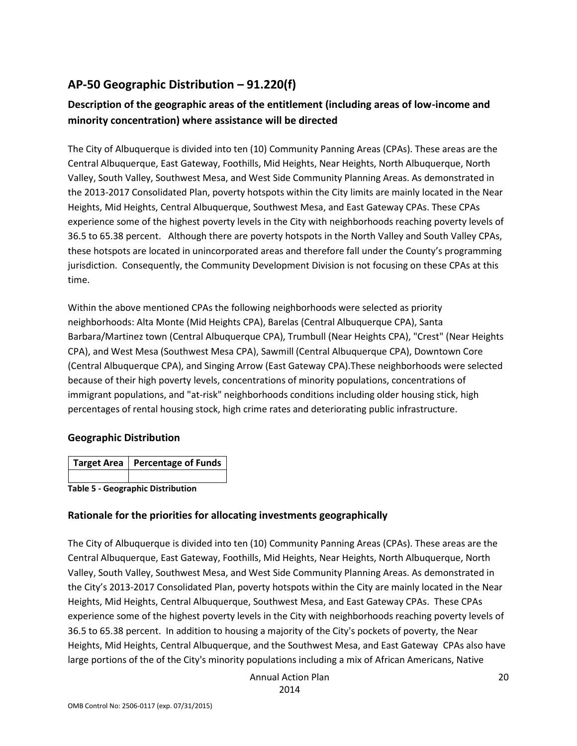## **AP-50 Geographic Distribution – 91.220(f)**

## **Description of the geographic areas of the entitlement (including areas of low-income and minority concentration) where assistance will be directed**

The City of Albuquerque is divided into ten (10) Community Panning Areas (CPAs). These areas are the Central Albuquerque, East Gateway, Foothills, Mid Heights, Near Heights, North Albuquerque, North Valley, South Valley, Southwest Mesa, and West Side Community Planning Areas. As demonstrated in the 2013-2017 Consolidated Plan, poverty hotspots within the City limits are mainly located in the Near Heights, Mid Heights, Central Albuquerque, Southwest Mesa, and East Gateway CPAs. These CPAs experience some of the highest poverty levels in the City with neighborhoods reaching poverty levels of 36.5 to 65.38 percent. Although there are poverty hotspots in the North Valley and South Valley CPAs, these hotspots are located in unincorporated areas and therefore fall under the County's programming jurisdiction. Consequently, the Community Development Division is not focusing on these CPAs at this time.

Within the above mentioned CPAs the following neighborhoods were selected as priority neighborhoods: Alta Monte (Mid Heights CPA), Barelas (Central Albuquerque CPA), Santa Barbara/Martinez town (Central Albuquerque CPA), Trumbull (Near Heights CPA), "Crest" (Near Heights CPA), and West Mesa (Southwest Mesa CPA), Sawmill (Central Albuquerque CPA), Downtown Core (Central Albuquerque CPA), and Singing Arrow (East Gateway CPA).These neighborhoods were selected because of their high poverty levels, concentrations of minority populations, concentrations of immigrant populations, and "at-risk" neighborhoods conditions including older housing stick, high percentages of rental housing stock, high crime rates and deteriorating public infrastructure.

#### **Geographic Distribution**

| Target Area   Percentage of Funds |
|-----------------------------------|
|                                   |

#### **Table 5 - Geographic Distribution**

#### **Rationale for the priorities for allocating investments geographically**

The City of Albuquerque is divided into ten (10) Community Panning Areas (CPAs). These areas are the Central Albuquerque, East Gateway, Foothills, Mid Heights, Near Heights, North Albuquerque, North Valley, South Valley, Southwest Mesa, and West Side Community Planning Areas. As demonstrated in the City's 2013-2017 Consolidated Plan, poverty hotspots within the City are mainly located in the Near Heights, Mid Heights, Central Albuquerque, Southwest Mesa, and East Gateway CPAs. These CPAs experience some of the highest poverty levels in the City with neighborhoods reaching poverty levels of 36.5 to 65.38 percent. In addition to housing a majority of the City's pockets of poverty, the Near Heights, Mid Heights, Central Albuquerque, and the Southwest Mesa, and East Gateway CPAs also have large portions of the of the City's minority populations including a mix of African Americans, Native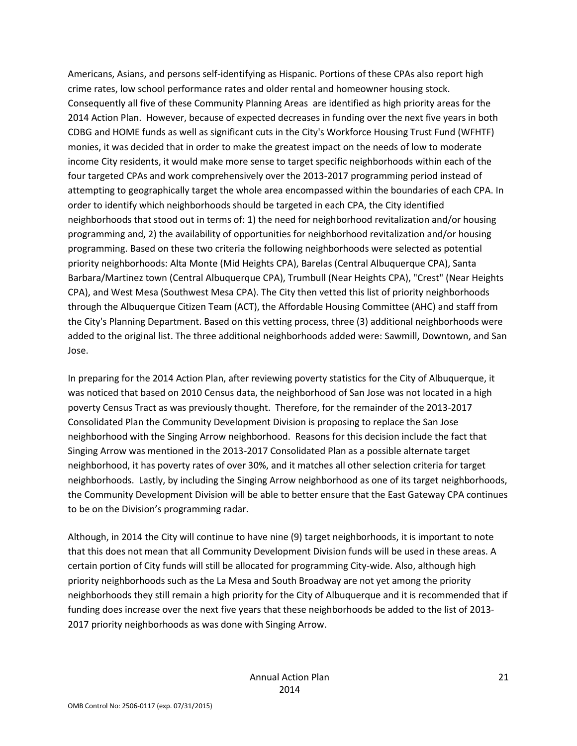Americans, Asians, and persons self-identifying as Hispanic. Portions of these CPAs also report high crime rates, low school performance rates and older rental and homeowner housing stock. Consequently all five of these Community Planning Areas are identified as high priority areas for the 2014 Action Plan. However, because of expected decreases in funding over the next five years in both CDBG and HOME funds as well as significant cuts in the City's Workforce Housing Trust Fund (WFHTF) monies, it was decided that in order to make the greatest impact on the needs of low to moderate income City residents, it would make more sense to target specific neighborhoods within each of the four targeted CPAs and work comprehensively over the 2013-2017 programming period instead of attempting to geographically target the whole area encompassed within the boundaries of each CPA. In order to identify which neighborhoods should be targeted in each CPA, the City identified neighborhoods that stood out in terms of: 1) the need for neighborhood revitalization and/or housing programming and, 2) the availability of opportunities for neighborhood revitalization and/or housing programming. Based on these two criteria the following neighborhoods were selected as potential priority neighborhoods: Alta Monte (Mid Heights CPA), Barelas (Central Albuquerque CPA), Santa Barbara/Martinez town (Central Albuquerque CPA), Trumbull (Near Heights CPA), "Crest" (Near Heights CPA), and West Mesa (Southwest Mesa CPA). The City then vetted this list of priority neighborhoods through the Albuquerque Citizen Team (ACT), the Affordable Housing Committee (AHC) and staff from the City's Planning Department. Based on this vetting process, three (3) additional neighborhoods were added to the original list. The three additional neighborhoods added were: Sawmill, Downtown, and San Jose.

In preparing for the 2014 Action Plan, after reviewing poverty statistics for the City of Albuquerque, it was noticed that based on 2010 Census data, the neighborhood of San Jose was not located in a high poverty Census Tract as was previously thought. Therefore, for the remainder of the 2013-2017 Consolidated Plan the Community Development Division is proposing to replace the San Jose neighborhood with the Singing Arrow neighborhood. Reasons for this decision include the fact that Singing Arrow was mentioned in the 2013-2017 Consolidated Plan as a possible alternate target neighborhood, it has poverty rates of over 30%, and it matches all other selection criteria for target neighborhoods. Lastly, by including the Singing Arrow neighborhood as one of its target neighborhoods, the Community Development Division will be able to better ensure that the East Gateway CPA continues to be on the Division's programming radar.

Although, in 2014 the City will continue to have nine (9) target neighborhoods, it is important to note that this does not mean that all Community Development Division funds will be used in these areas. A certain portion of City funds will still be allocated for programming City-wide. Also, although high priority neighborhoods such as the La Mesa and South Broadway are not yet among the priority neighborhoods they still remain a high priority for the City of Albuquerque and it is recommended that if funding does increase over the next five years that these neighborhoods be added to the list of 2013- 2017 priority neighborhoods as was done with Singing Arrow.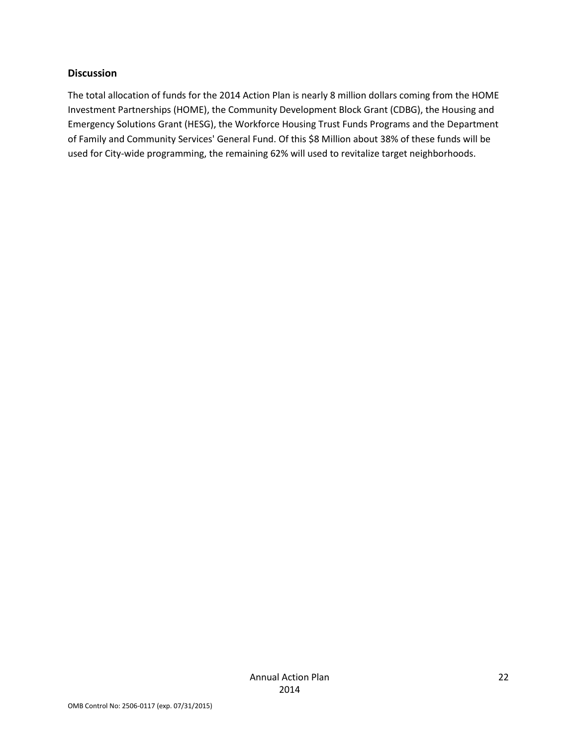#### **Discussion**

The total allocation of funds for the 2014 Action Plan is nearly 8 million dollars coming from the HOME Investment Partnerships (HOME), the Community Development Block Grant (CDBG), the Housing and Emergency Solutions Grant (HESG), the Workforce Housing Trust Funds Programs and the Department of Family and Community Services' General Fund. Of this \$8 Million about 38% of these funds will be used for City-wide programming, the remaining 62% will used to revitalize target neighborhoods.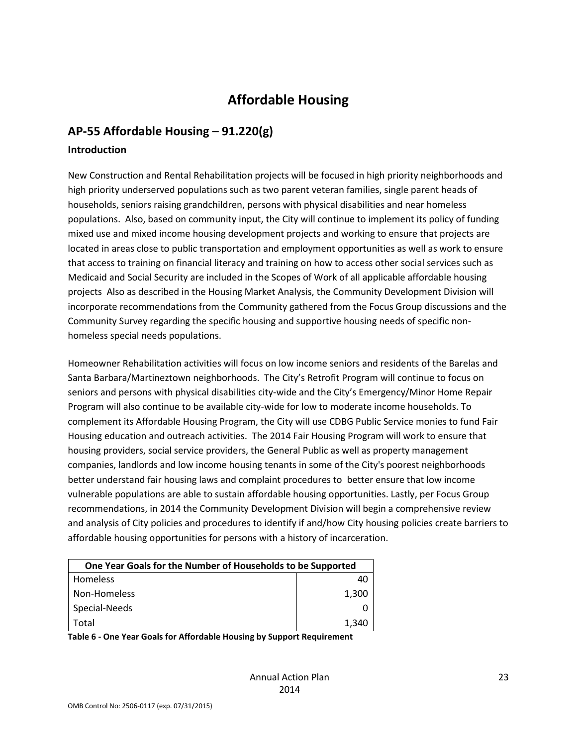# **Affordable Housing**

## **AP-55 Affordable Housing – 91.220(g)**

#### **Introduction**

New Construction and Rental Rehabilitation projects will be focused in high priority neighborhoods and high priority underserved populations such as two parent veteran families, single parent heads of households, seniors raising grandchildren, persons with physical disabilities and near homeless populations. Also, based on community input, the City will continue to implement its policy of funding mixed use and mixed income housing development projects and working to ensure that projects are located in areas close to public transportation and employment opportunities as well as work to ensure that access to training on financial literacy and training on how to access other social services such as Medicaid and Social Security are included in the Scopes of Work of all applicable affordable housing projects Also as described in the Housing Market Analysis, the Community Development Division will incorporate recommendations from the Community gathered from the Focus Group discussions and the Community Survey regarding the specific housing and supportive housing needs of specific nonhomeless special needs populations.

Homeowner Rehabilitation activities will focus on low income seniors and residents of the Barelas and Santa Barbara/Martineztown neighborhoods. The City's Retrofit Program will continue to focus on seniors and persons with physical disabilities city-wide and the City's Emergency/Minor Home Repair Program will also continue to be available city-wide for low to moderate income households. To complement its Affordable Housing Program, the City will use CDBG Public Service monies to fund Fair Housing education and outreach activities. The 2014 Fair Housing Program will work to ensure that housing providers, social service providers, the General Public as well as property management companies, landlords and low income housing tenants in some of the City's poorest neighborhoods better understand fair housing laws and complaint procedures to better ensure that low income vulnerable populations are able to sustain affordable housing opportunities. Lastly, per Focus Group recommendations, in 2014 the Community Development Division will begin a comprehensive review and analysis of City policies and procedures to identify if and/how City housing policies create barriers to affordable housing opportunities for persons with a history of incarceration.

| One Year Goals for the Number of Households to be Supported |       |
|-------------------------------------------------------------|-------|
| Homeless                                                    | 40    |
| Non-Homeless                                                | 1,300 |
| Special-Needs                                               |       |
| Total                                                       | 1,340 |

**Table 6 - One Year Goals for Affordable Housing by Support Requirement**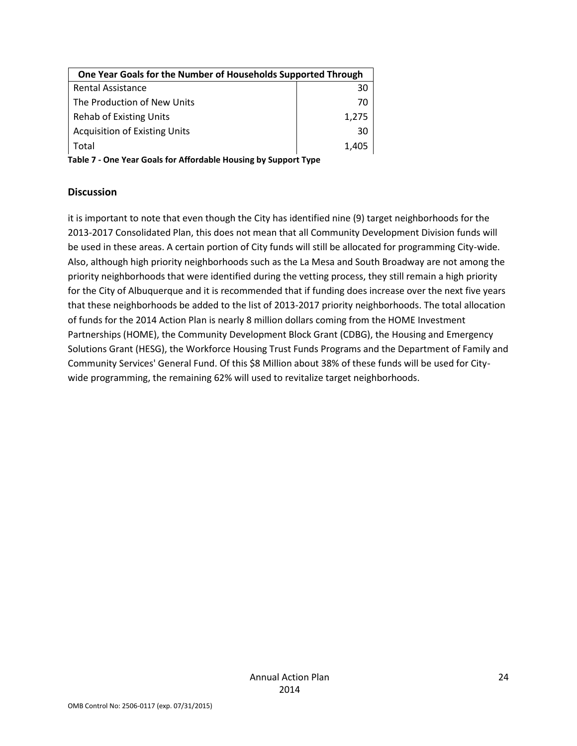| One Year Goals for the Number of Households Supported Through |       |
|---------------------------------------------------------------|-------|
| <b>Rental Assistance</b>                                      | 30    |
| The Production of New Units                                   | 70    |
| <b>Rehab of Existing Units</b>                                | 1,275 |
| <b>Acquisition of Existing Units</b>                          | 30    |
| Total                                                         | 1.405 |

**Table 7 - One Year Goals for Affordable Housing by Support Type**

#### **Discussion**

it is important to note that even though the City has identified nine (9) target neighborhoods for the 2013-2017 Consolidated Plan, this does not mean that all Community Development Division funds will be used in these areas. A certain portion of City funds will still be allocated for programming City-wide. Also, although high priority neighborhoods such as the La Mesa and South Broadway are not among the priority neighborhoods that were identified during the vetting process, they still remain a high priority for the City of Albuquerque and it is recommended that if funding does increase over the next five years that these neighborhoods be added to the list of 2013-2017 priority neighborhoods. The total allocation of funds for the 2014 Action Plan is nearly 8 million dollars coming from the HOME Investment Partnerships (HOME), the Community Development Block Grant (CDBG), the Housing and Emergency Solutions Grant (HESG), the Workforce Housing Trust Funds Programs and the Department of Family and Community Services' General Fund. Of this \$8 Million about 38% of these funds will be used for Citywide programming, the remaining 62% will used to revitalize target neighborhoods.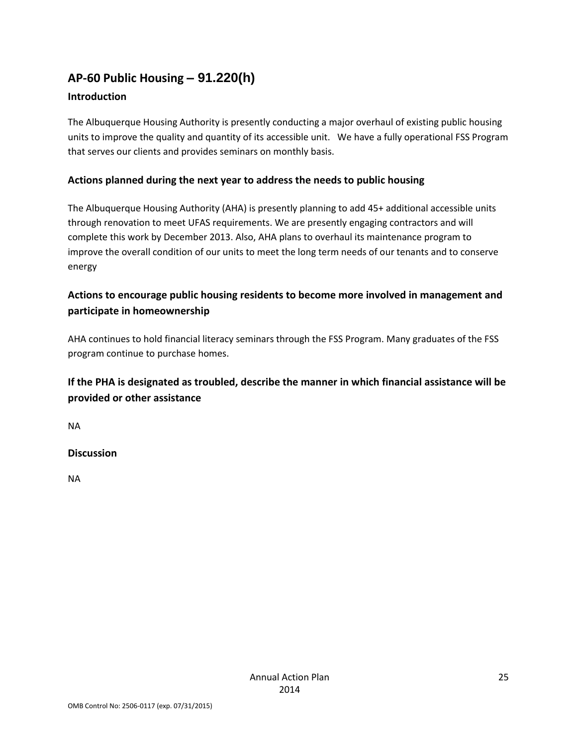## **AP-60 Public Housing** *–* **91.220(h)**

## **Introduction**

The Albuquerque Housing Authority is presently conducting a major overhaul of existing public housing units to improve the quality and quantity of its accessible unit. We have a fully operational FSS Program that serves our clients and provides seminars on monthly basis.

## **Actions planned during the next year to address the needs to public housing**

The Albuquerque Housing Authority (AHA) is presently planning to add 45+ additional accessible units through renovation to meet UFAS requirements. We are presently engaging contractors and will complete this work by December 2013. Also, AHA plans to overhaul its maintenance program to improve the overall condition of our units to meet the long term needs of our tenants and to conserve energy

## **Actions to encourage public housing residents to become more involved in management and participate in homeownership**

AHA continues to hold financial literacy seminars through the FSS Program. Many graduates of the FSS program continue to purchase homes.

## **If the PHA is designated as troubled, describe the manner in which financial assistance will be provided or other assistance**

NA

## **Discussion**

NA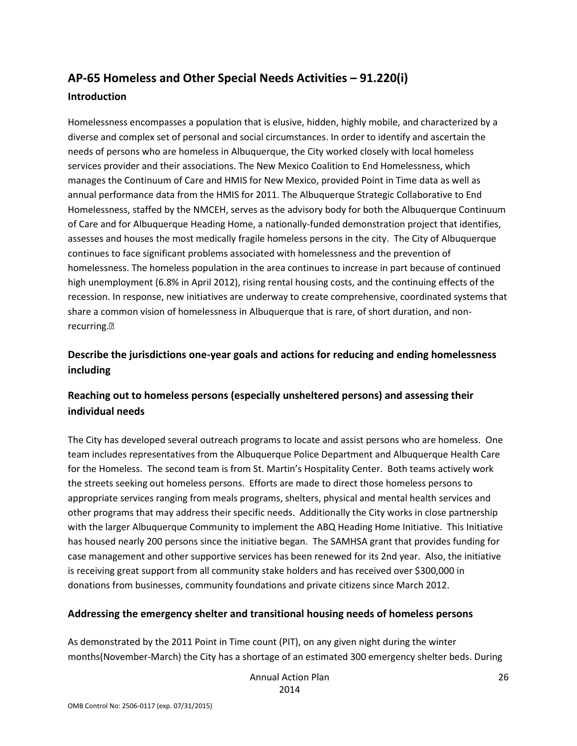## **AP-65 Homeless and Other Special Needs Activities – 91.220(i) Introduction**

Homelessness encompasses a population that is elusive, hidden, highly mobile, and characterized by a diverse and complex set of personal and social circumstances. In order to identify and ascertain the needs of persons who are homeless in Albuquerque, the City worked closely with local homeless services provider and their associations. The New Mexico Coalition to End Homelessness, which manages the Continuum of Care and HMIS for New Mexico, provided Point in Time data as well as annual performance data from the HMIS for 2011. The Albuquerque Strategic Collaborative to End Homelessness, staffed by the NMCEH, serves as the advisory body for both the Albuquerque Continuum of Care and for Albuquerque Heading Home, a nationally-funded demonstration project that identifies, assesses and houses the most medically fragile homeless persons in the city. The City of Albuquerque continues to face significant problems associated with homelessness and the prevention of homelessness. The homeless population in the area continues to increase in part because of continued high unemployment (6.8% in April 2012), rising rental housing costs, and the continuing effects of the recession. In response, new initiatives are underway to create comprehensive, coordinated systems that share a common vision of homelessness in Albuquerque that is rare, of short duration, and nonrecurring.•

## **Describe the jurisdictions one-year goals and actions for reducing and ending homelessness including**

## **Reaching out to homeless persons (especially unsheltered persons) and assessing their individual needs**

The City has developed several outreach programs to locate and assist persons who are homeless. One team includes representatives from the Albuquerque Police Department and Albuquerque Health Care for the Homeless. The second team is from St. Martin's Hospitality Center. Both teams actively work the streets seeking out homeless persons. Efforts are made to direct those homeless persons to appropriate services ranging from meals programs, shelters, physical and mental health services and other programs that may address their specific needs. Additionally the City works in close partnership with the larger Albuquerque Community to implement the ABQ Heading Home Initiative. This Initiative has housed nearly 200 persons since the initiative began. The SAMHSA grant that provides funding for case management and other supportive services has been renewed for its 2nd year. Also, the initiative is receiving great support from all community stake holders and has received over \$300,000 in donations from businesses, community foundations and private citizens since March 2012.

## **Addressing the emergency shelter and transitional housing needs of homeless persons**

As demonstrated by the 2011 Point in Time count (PIT), on any given night during the winter months(November-March) the City has a shortage of an estimated 300 emergency shelter beds. During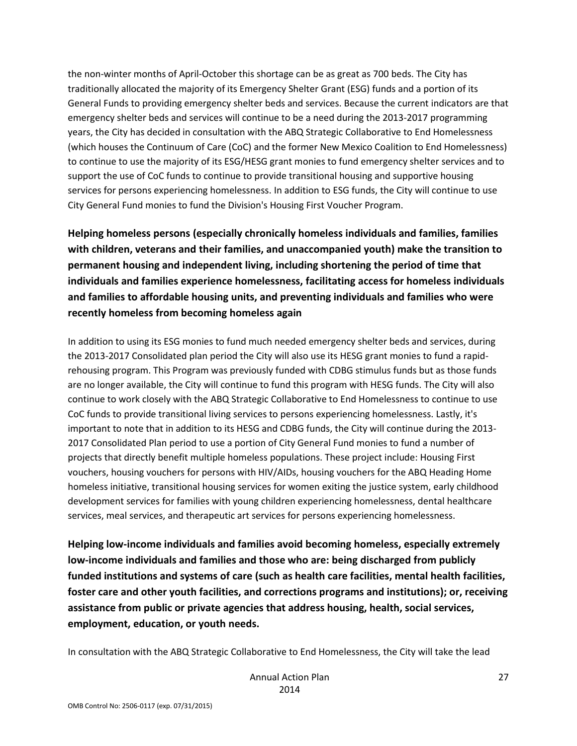the non-winter months of April-October this shortage can be as great as 700 beds. The City has traditionally allocated the majority of its Emergency Shelter Grant (ESG) funds and a portion of its General Funds to providing emergency shelter beds and services. Because the current indicators are that emergency shelter beds and services will continue to be a need during the 2013-2017 programming years, the City has decided in consultation with the ABQ Strategic Collaborative to End Homelessness (which houses the Continuum of Care (CoC) and the former New Mexico Coalition to End Homelessness) to continue to use the majority of its ESG/HESG grant monies to fund emergency shelter services and to support the use of CoC funds to continue to provide transitional housing and supportive housing services for persons experiencing homelessness. In addition to ESG funds, the City will continue to use City General Fund monies to fund the Division's Housing First Voucher Program.

**Helping homeless persons (especially chronically homeless individuals and families, families with children, veterans and their families, and unaccompanied youth) make the transition to permanent housing and independent living, including shortening the period of time that individuals and families experience homelessness, facilitating access for homeless individuals and families to affordable housing units, and preventing individuals and families who were recently homeless from becoming homeless again**

In addition to using its ESG monies to fund much needed emergency shelter beds and services, during the 2013-2017 Consolidated plan period the City will also use its HESG grant monies to fund a rapidrehousing program. This Program was previously funded with CDBG stimulus funds but as those funds are no longer available, the City will continue to fund this program with HESG funds. The City will also continue to work closely with the ABQ Strategic Collaborative to End Homelessness to continue to use CoC funds to provide transitional living services to persons experiencing homelessness. Lastly, it's important to note that in addition to its HESG and CDBG funds, the City will continue during the 2013- 2017 Consolidated Plan period to use a portion of City General Fund monies to fund a number of projects that directly benefit multiple homeless populations. These project include: Housing First vouchers, housing vouchers for persons with HIV/AIDs, housing vouchers for the ABQ Heading Home homeless initiative, transitional housing services for women exiting the justice system, early childhood development services for families with young children experiencing homelessness, dental healthcare services, meal services, and therapeutic art services for persons experiencing homelessness.

**Helping low-income individuals and families avoid becoming homeless, especially extremely low-income individuals and families and those who are: being discharged from publicly funded institutions and systems of care (such as health care facilities, mental health facilities, foster care and other youth facilities, and corrections programs and institutions); or, receiving assistance from public or private agencies that address housing, health, social services, employment, education, or youth needs.**

In consultation with the ABQ Strategic Collaborative to End Homelessness, the City will take the lead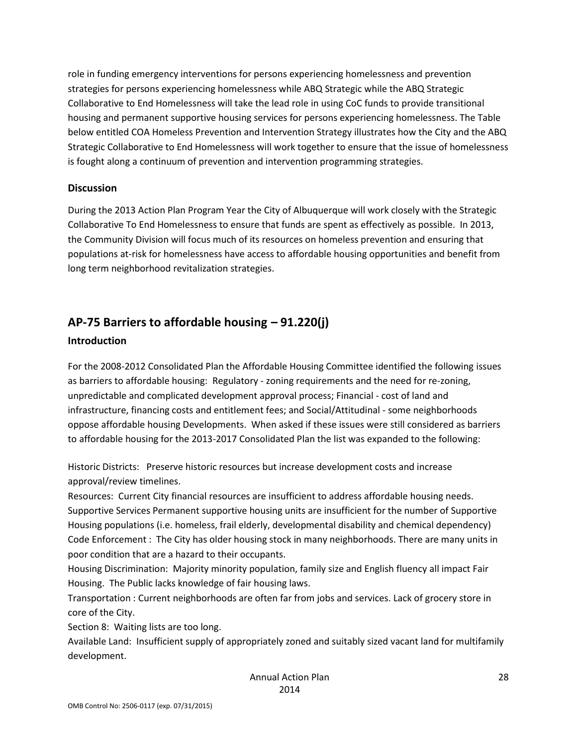role in funding emergency interventions for persons experiencing homelessness and prevention strategies for persons experiencing homelessness while ABQ Strategic while the ABQ Strategic Collaborative to End Homelessness will take the lead role in using CoC funds to provide transitional housing and permanent supportive housing services for persons experiencing homelessness. The Table below entitled COA Homeless Prevention and Intervention Strategy illustrates how the City and the ABQ Strategic Collaborative to End Homelessness will work together to ensure that the issue of homelessness is fought along a continuum of prevention and intervention programming strategies.

#### **Discussion**

During the 2013 Action Plan Program Year the City of Albuquerque will work closely with the Strategic Collaborative To End Homelessness to ensure that funds are spent as effectively as possible. In 2013, the Community Division will focus much of its resources on homeless prevention and ensuring that populations at-risk for homelessness have access to affordable housing opportunities and benefit from long term neighborhood revitalization strategies.

## **AP-75 Barriers to affordable housing – 91.220(j)**

#### **Introduction**

For the 2008-2012 Consolidated Plan the Affordable Housing Committee identified the following issues as barriers to affordable housing: Regulatory - zoning requirements and the need for re-zoning, unpredictable and complicated development approval process; Financial - cost of land and infrastructure, financing costs and entitlement fees; and Social/Attitudinal - some neighborhoods oppose affordable housing Developments. When asked if these issues were still considered as barriers to affordable housing for the 2013-2017 Consolidated Plan the list was expanded to the following:

Historic Districts: Preserve historic resources but increase development costs and increase approval/review timelines.

Resources: Current City financial resources are insufficient to address affordable housing needs. Supportive Services Permanent supportive housing units are insufficient for the number of Supportive Housing populations (i.e. homeless, frail elderly, developmental disability and chemical dependency) Code Enforcement : The City has older housing stock in many neighborhoods. There are many units in poor condition that are a hazard to their occupants.

Housing Discrimination: Majority minority population, family size and English fluency all impact Fair Housing. The Public lacks knowledge of fair housing laws.

Transportation : Current neighborhoods are often far from jobs and services. Lack of grocery store in core of the City.

Section 8: Waiting lists are too long.

Available Land: Insufficient supply of appropriately zoned and suitably sized vacant land for multifamily development.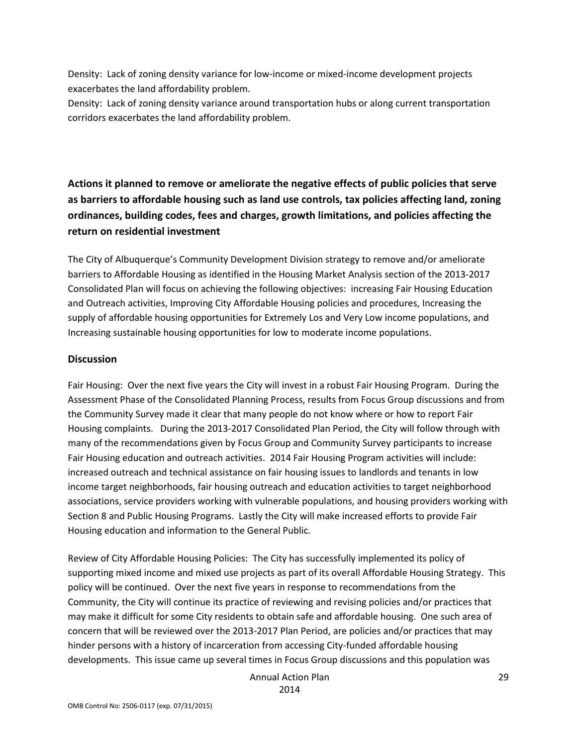Density: Lack of zoning density variance for low-income or mixed-income development projects exacerbates the land affordability problem.

Density: Lack of zoning density variance around transportation hubs or along current transportation corridors exacerbates the land affordability problem.

## **Actions it planned to remove or ameliorate the negative effects of public policies that serve as barriers to affordable housing such as land use controls, tax policies affecting land, zoning ordinances, building codes, fees and charges, growth limitations, and policies affecting the return on residential investment**

The City of Albuquerque's Community Development Division strategy to remove and/or ameliorate barriers to Affordable Housing as identified in the Housing Market Analysis section of the 2013-2017 Consolidated Plan will focus on achieving the following objectives: increasing Fair Housing Education and Outreach activities, Improving City Affordable Housing policies and procedures, Increasing the supply of affordable housing opportunities for Extremely Los and Very Low income populations, and Increasing sustainable housing opportunities for low to moderate income populations.

#### **Discussion**

Fair Housing: Over the next five years the City will invest in a robust Fair Housing Program. During the Assessment Phase of the Consolidated Planning Process, results from Focus Group discussions and from the Community Survey made it clear that many people do not know where or how to report Fair Housing complaints. During the 2013-2017 Consolidated Plan Period, the City will follow through with many of the recommendations given by Focus Group and Community Survey participants to increase Fair Housing education and outreach activities. 2014 Fair Housing Program activities will include: increased outreach and technical assistance on fair housing issues to landlords and tenants in low income target neighborhoods, fair housing outreach and education activities to target neighborhood associations, service providers working with vulnerable populations, and housing providers working with Section 8 and Public Housing Programs. Lastly the City will make increased efforts to provide Fair Housing education and information to the General Public.

Review of City Affordable Housing Policies: The City has successfully implemented its policy of supporting mixed income and mixed use projects as part of its overall Affordable Housing Strategy. This policy will be continued. Over the next five years in response to recommendations from the Community, the City will continue its practice of reviewing and revising policies and/or practices that may make it difficult for some City residents to obtain safe and affordable housing. One such area of concern that will be reviewed over the 2013-2017 Plan Period, are policies and/or practices that may hinder persons with a history of incarceration from accessing City-funded affordable housing developments. This issue came up several times in Focus Group discussions and this population was

Annual Action Plan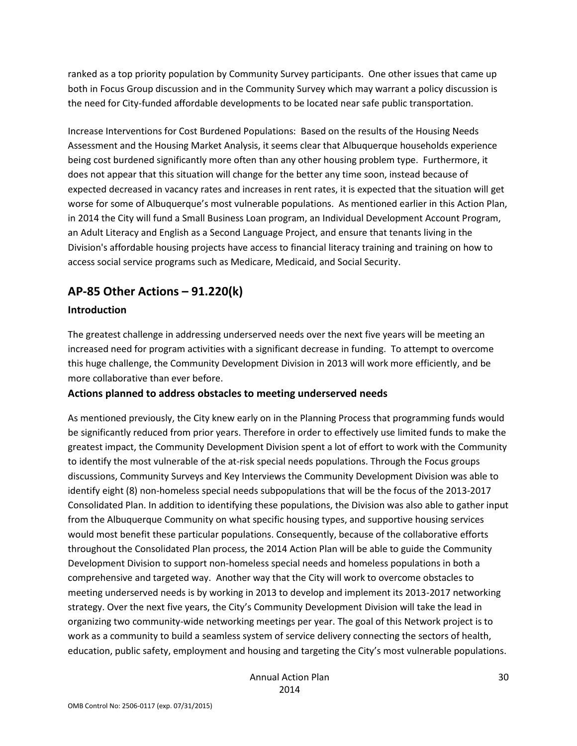ranked as a top priority population by Community Survey participants. One other issues that came up both in Focus Group discussion and in the Community Survey which may warrant a policy discussion is the need for City-funded affordable developments to be located near safe public transportation.

Increase Interventions for Cost Burdened Populations: Based on the results of the Housing Needs Assessment and the Housing Market Analysis, it seems clear that Albuquerque households experience being cost burdened significantly more often than any other housing problem type. Furthermore, it does not appear that this situation will change for the better any time soon, instead because of expected decreased in vacancy rates and increases in rent rates, it is expected that the situation will get worse for some of Albuquerque's most vulnerable populations. As mentioned earlier in this Action Plan, in 2014 the City will fund a Small Business Loan program, an Individual Development Account Program, an Adult Literacy and English as a Second Language Project, and ensure that tenants living in the Division's affordable housing projects have access to financial literacy training and training on how to access social service programs such as Medicare, Medicaid, and Social Security.

## **AP-85 Other Actions – 91.220(k)**

## **Introduction**

The greatest challenge in addressing underserved needs over the next five years will be meeting an increased need for program activities with a significant decrease in funding. To attempt to overcome this huge challenge, the Community Development Division in 2013 will work more efficiently, and be more collaborative than ever before.

## **Actions planned to address obstacles to meeting underserved needs**

As mentioned previously, the City knew early on in the Planning Process that programming funds would be significantly reduced from prior years. Therefore in order to effectively use limited funds to make the greatest impact, the Community Development Division spent a lot of effort to work with the Community to identify the most vulnerable of the at-risk special needs populations. Through the Focus groups discussions, Community Surveys and Key Interviews the Community Development Division was able to identify eight (8) non-homeless special needs subpopulations that will be the focus of the 2013-2017 Consolidated Plan. In addition to identifying these populations, the Division was also able to gather input from the Albuquerque Community on what specific housing types, and supportive housing services would most benefit these particular populations. Consequently, because of the collaborative efforts throughout the Consolidated Plan process, the 2014 Action Plan will be able to guide the Community Development Division to support non-homeless special needs and homeless populations in both a comprehensive and targeted way. Another way that the City will work to overcome obstacles to meeting underserved needs is by working in 2013 to develop and implement its 2013-2017 networking strategy. Over the next five years, the City's Community Development Division will take the lead in organizing two community-wide networking meetings per year. The goal of this Network project is to work as a community to build a seamless system of service delivery connecting the sectors of health, education, public safety, employment and housing and targeting the City's most vulnerable populations.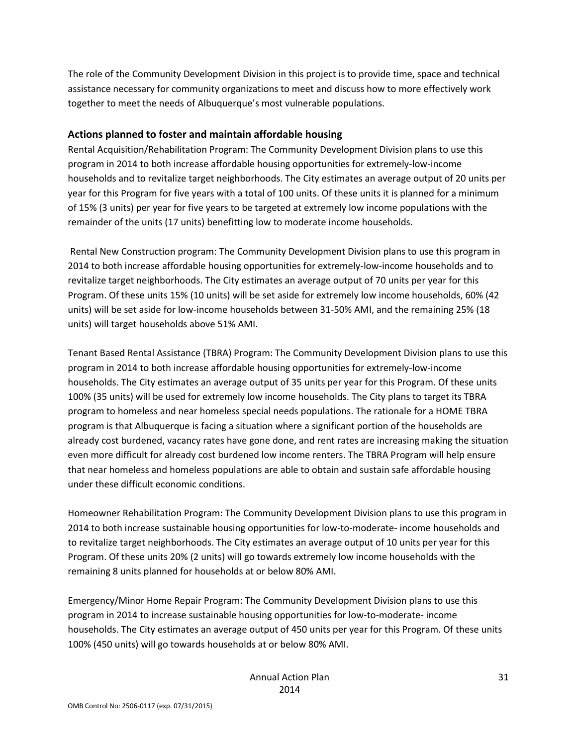The role of the Community Development Division in this project is to provide time, space and technical assistance necessary for community organizations to meet and discuss how to more effectively work together to meet the needs of Albuquerque's most vulnerable populations.

#### **Actions planned to foster and maintain affordable housing**

Rental Acquisition/Rehabilitation Program: The Community Development Division plans to use this program in 2014 to both increase affordable housing opportunities for extremely-low-income households and to revitalize target neighborhoods. The City estimates an average output of 20 units per year for this Program for five years with a total of 100 units. Of these units it is planned for a minimum of 15% (3 units) per year for five years to be targeted at extremely low income populations with the remainder of the units (17 units) benefitting low to moderate income households.

Rental New Construction program: The Community Development Division plans to use this program in 2014 to both increase affordable housing opportunities for extremely-low-income households and to revitalize target neighborhoods. The City estimates an average output of 70 units per year for this Program. Of these units 15% (10 units) will be set aside for extremely low income households, 60% (42 units) will be set aside for low-income households between 31-50% AMI, and the remaining 25% (18 units) will target households above 51% AMI.

Tenant Based Rental Assistance (TBRA) Program: The Community Development Division plans to use this program in 2014 to both increase affordable housing opportunities for extremely-low-income households. The City estimates an average output of 35 units per year for this Program. Of these units 100% (35 units) will be used for extremely low income households. The City plans to target its TBRA program to homeless and near homeless special needs populations. The rationale for a HOME TBRA program is that Albuquerque is facing a situation where a significant portion of the households are already cost burdened, vacancy rates have gone done, and rent rates are increasing making the situation even more difficult for already cost burdened low income renters. The TBRA Program will help ensure that near homeless and homeless populations are able to obtain and sustain safe affordable housing under these difficult economic conditions.

Homeowner Rehabilitation Program: The Community Development Division plans to use this program in 2014 to both increase sustainable housing opportunities for low-to-moderate- income households and to revitalize target neighborhoods. The City estimates an average output of 10 units per year for this Program. Of these units 20% (2 units) will go towards extremely low income households with the remaining 8 units planned for households at or below 80% AMI.

Emergency/Minor Home Repair Program: The Community Development Division plans to use this program in 2014 to increase sustainable housing opportunities for low-to-moderate- income households. The City estimates an average output of 450 units per year for this Program. Of these units 100% (450 units) will go towards households at or below 80% AMI.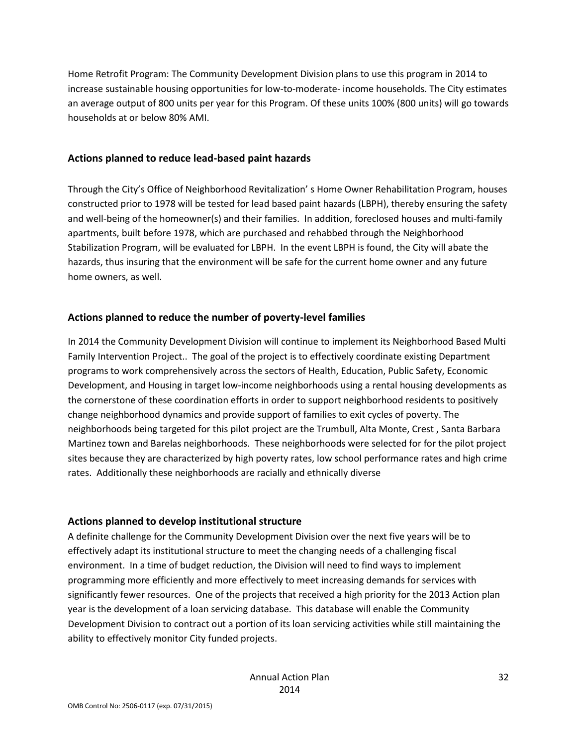Home Retrofit Program: The Community Development Division plans to use this program in 2014 to increase sustainable housing opportunities for low-to-moderate- income households. The City estimates an average output of 800 units per year for this Program. Of these units 100% (800 units) will go towards households at or below 80% AMI.

#### **Actions planned to reduce lead-based paint hazards**

Through the City's Office of Neighborhood Revitalization' s Home Owner Rehabilitation Program, houses constructed prior to 1978 will be tested for lead based paint hazards (LBPH), thereby ensuring the safety and well-being of the homeowner(s) and their families. In addition, foreclosed houses and multi-family apartments, built before 1978, which are purchased and rehabbed through the Neighborhood Stabilization Program, will be evaluated for LBPH. In the event LBPH is found, the City will abate the hazards, thus insuring that the environment will be safe for the current home owner and any future home owners, as well.

#### **Actions planned to reduce the number of poverty-level families**

In 2014 the Community Development Division will continue to implement its Neighborhood Based Multi Family Intervention Project.. The goal of the project is to effectively coordinate existing Department programs to work comprehensively across the sectors of Health, Education, Public Safety, Economic Development, and Housing in target low-income neighborhoods using a rental housing developments as the cornerstone of these coordination efforts in order to support neighborhood residents to positively change neighborhood dynamics and provide support of families to exit cycles of poverty. The neighborhoods being targeted for this pilot project are the Trumbull, Alta Monte, Crest , Santa Barbara Martinez town and Barelas neighborhoods. These neighborhoods were selected for for the pilot project sites because they are characterized by high poverty rates, low school performance rates and high crime rates. Additionally these neighborhoods are racially and ethnically diverse

## **Actions planned to develop institutional structure**

A definite challenge for the Community Development Division over the next five years will be to effectively adapt its institutional structure to meet the changing needs of a challenging fiscal environment. In a time of budget reduction, the Division will need to find ways to implement programming more efficiently and more effectively to meet increasing demands for services with significantly fewer resources. One of the projects that received a high priority for the 2013 Action plan year is the development of a loan servicing database. This database will enable the Community Development Division to contract out a portion of its loan servicing activities while still maintaining the ability to effectively monitor City funded projects.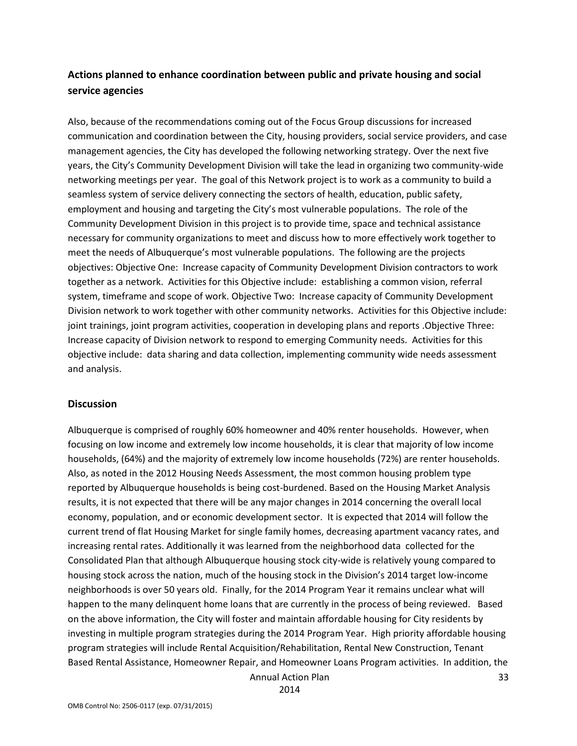## **Actions planned to enhance coordination between public and private housing and social service agencies**

Also, because of the recommendations coming out of the Focus Group discussions for increased communication and coordination between the City, housing providers, social service providers, and case management agencies, the City has developed the following networking strategy. Over the next five years, the City's Community Development Division will take the lead in organizing two community-wide networking meetings per year. The goal of this Network project is to work as a community to build a seamless system of service delivery connecting the sectors of health, education, public safety, employment and housing and targeting the City's most vulnerable populations. The role of the Community Development Division in this project is to provide time, space and technical assistance necessary for community organizations to meet and discuss how to more effectively work together to meet the needs of Albuquerque's most vulnerable populations. The following are the projects objectives: Objective One: Increase capacity of Community Development Division contractors to work together as a network. Activities for this Objective include: establishing a common vision, referral system, timeframe and scope of work. Objective Two: Increase capacity of Community Development Division network to work together with other community networks. Activities for this Objective include: joint trainings, joint program activities, cooperation in developing plans and reports .Objective Three: Increase capacity of Division network to respond to emerging Community needs. Activities for this objective include: data sharing and data collection, implementing community wide needs assessment and analysis.

#### **Discussion**

Albuquerque is comprised of roughly 60% homeowner and 40% renter households. However, when focusing on low income and extremely low income households, it is clear that majority of low income households, (64%) and the majority of extremely low income households (72%) are renter households. Also, as noted in the 2012 Housing Needs Assessment, the most common housing problem type reported by Albuquerque households is being cost-burdened. Based on the Housing Market Analysis results, it is not expected that there will be any major changes in 2014 concerning the overall local economy, population, and or economic development sector. It is expected that 2014 will follow the current trend of flat Housing Market for single family homes, decreasing apartment vacancy rates, and increasing rental rates. Additionally it was learned from the neighborhood data collected for the Consolidated Plan that although Albuquerque housing stock city-wide is relatively young compared to housing stock across the nation, much of the housing stock in the Division's 2014 target low-income neighborhoods is over 50 years old. Finally, for the 2014 Program Year it remains unclear what will happen to the many delinquent home loans that are currently in the process of being reviewed. Based on the above information, the City will foster and maintain affordable housing for City residents by investing in multiple program strategies during the 2014 Program Year. High priority affordable housing program strategies will include Rental Acquisition/Rehabilitation, Rental New Construction, Tenant Based Rental Assistance, Homeowner Repair, and Homeowner Loans Program activities. In addition, the

Annual Action Plan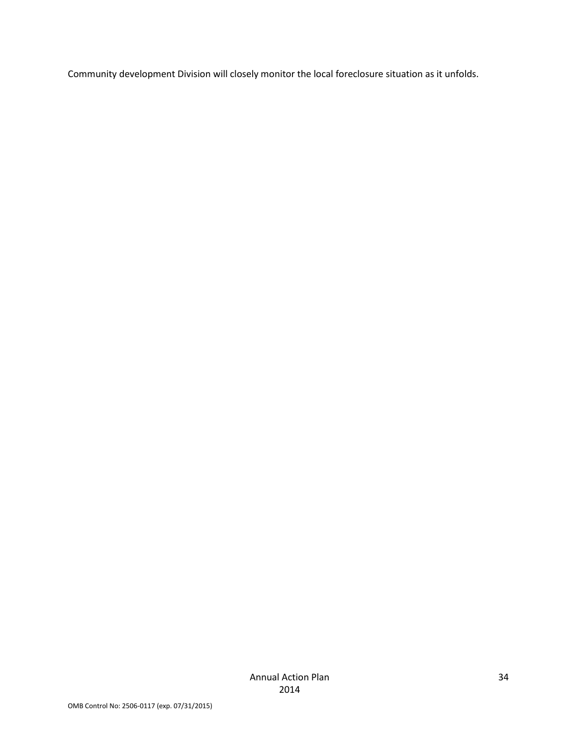Community development Division will closely monitor the local foreclosure situation as it unfolds.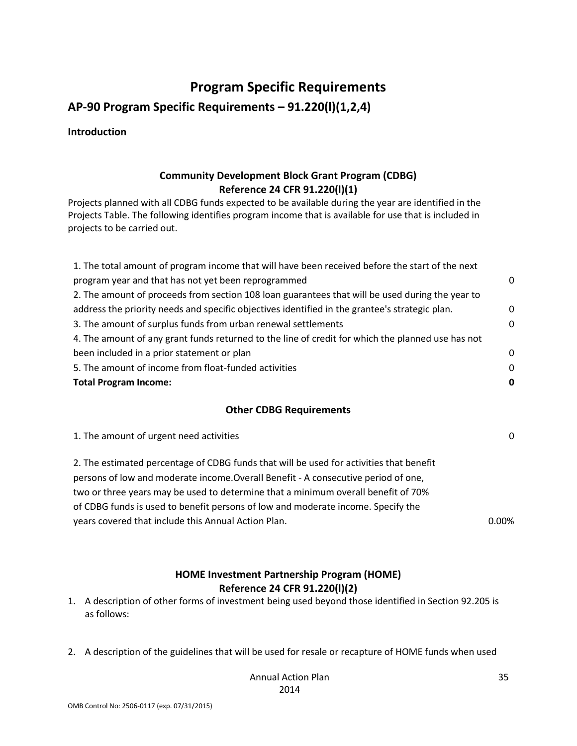## **Program Specific Requirements**

**AP-90 Program Specific Requirements – 91.220(l)(1,2,4)**

**Introduction**

## **Community Development Block Grant Program (CDBG) Reference 24 CFR 91.220(l)(1)**

Projects planned with all CDBG funds expected to be available during the year are identified in the Projects Table. The following identifies program income that is available for use that is included in projects to be carried out.

| 1. The total amount of program income that will have been received before the start of the next   |          |
|---------------------------------------------------------------------------------------------------|----------|
| program year and that has not yet been reprogrammed                                               | $\Omega$ |
| 2. The amount of proceeds from section 108 loan guarantees that will be used during the year to   |          |
| address the priority needs and specific objectives identified in the grantee's strategic plan.    | 0        |
| 3. The amount of surplus funds from urban renewal settlements                                     | $\Omega$ |
| 4. The amount of any grant funds returned to the line of credit for which the planned use has not |          |
| been included in a prior statement or plan                                                        | $\Omega$ |
| 5. The amount of income from float-funded activities                                              | $\Omega$ |
| <b>Total Program Income:</b>                                                                      | 0        |
|                                                                                                   |          |

#### **Other CDBG Requirements**

1. The amount of urgent need activities 0 2. The estimated percentage of CDBG funds that will be used for activities that benefit persons of low and moderate income.Overall Benefit - A consecutive period of one, two or three years may be used to determine that a minimum overall benefit of 70%

of CDBG funds is used to benefit persons of low and moderate income. Specify the

years covered that include this Annual Action Plan. The contraction of the contraction of the contraction of the contraction of the contraction of the contraction of the contraction of the contraction of the contraction of

## **HOME Investment Partnership Program (HOME) Reference 24 CFR 91.220(l)(2)**

- 1. A description of other forms of investment being used beyond those identified in Section 92.205 is as follows:
- 2. A description of the guidelines that will be used for resale or recapture of HOME funds when used